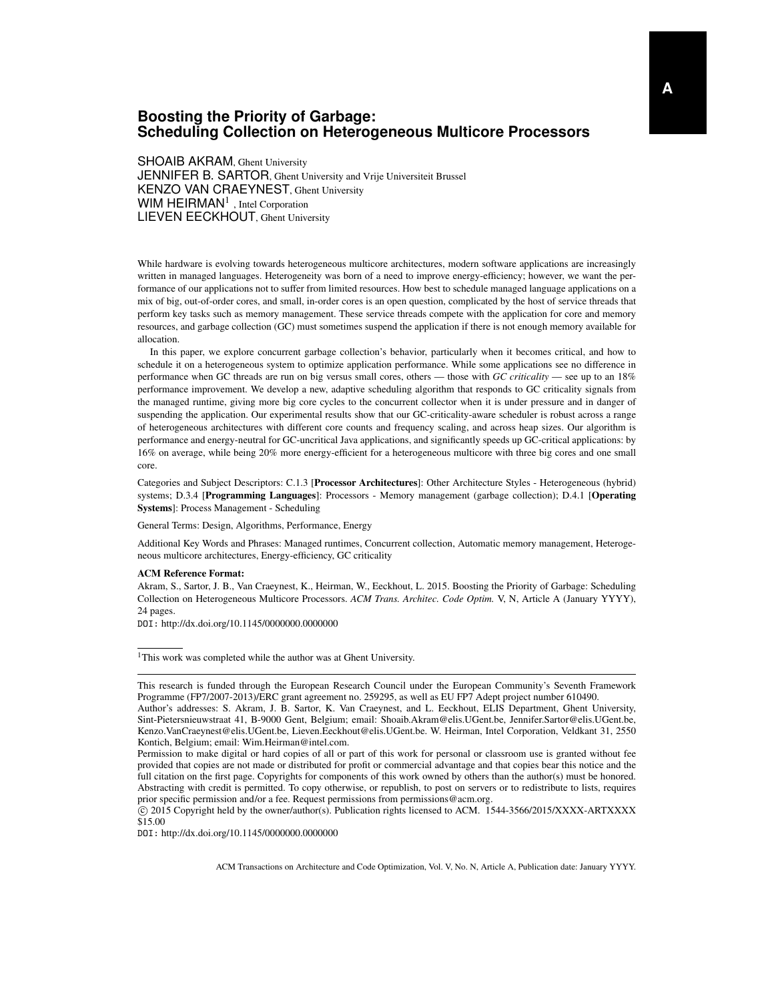SHOAIB AKRAM, Ghent University JENNIFER B. SARTOR, Ghent University and Vrije Universiteit Brussel KENZO VAN CRAEYNEST, Ghent University WIM  $HEIRMAN<sup>1</sup>$ , Intel Corporation LIEVEN EECKHOUT, Ghent University

While hardware is evolving towards heterogeneous multicore architectures, modern software applications are increasingly written in managed languages. Heterogeneity was born of a need to improve energy-efficiency; however, we want the performance of our applications not to suffer from limited resources. How best to schedule managed language applications on a mix of big, out-of-order cores, and small, in-order cores is an open question, complicated by the host of service threads that perform key tasks such as memory management. These service threads compete with the application for core and memory resources, and garbage collection (GC) must sometimes suspend the application if there is not enough memory available for allocation.

In this paper, we explore concurrent garbage collection's behavior, particularly when it becomes critical, and how to schedule it on a heterogeneous system to optimize application performance. While some applications see no difference in performance when GC threads are run on big versus small cores, others — those with *GC criticality* — see up to an 18% performance improvement. We develop a new, adaptive scheduling algorithm that responds to GC criticality signals from the managed runtime, giving more big core cycles to the concurrent collector when it is under pressure and in danger of suspending the application. Our experimental results show that our GC-criticality-aware scheduler is robust across a range of heterogeneous architectures with different core counts and frequency scaling, and across heap sizes. Our algorithm is performance and energy-neutral for GC-uncritical Java applications, and significantly speeds up GC-critical applications: by 16% on average, while being 20% more energy-efficient for a heterogeneous multicore with three big cores and one small core.

Categories and Subject Descriptors: C.1.3 [Processor Architectures]: Other Architecture Styles - Heterogeneous (hybrid) systems; D.3.4 [Programming Languages]: Processors - Memory management (garbage collection); D.4.1 [Operating Systems]: Process Management - Scheduling

General Terms: Design, Algorithms, Performance, Energy

Additional Key Words and Phrases: Managed runtimes, Concurrent collection, Automatic memory management, Heterogeneous multicore architectures, Energy-efficiency, GC criticality

#### ACM Reference Format:

Akram, S., Sartor, J. B., Van Craeynest, K., Heirman, W., Eeckhout, L. 2015. Boosting the Priority of Garbage: Scheduling Collection on Heterogeneous Multicore Processors. *ACM Trans. Architec. Code Optim.* V, N, Article A (January YYYY), 24 pages.

DOI: http://dx.doi.org/10.1145/0000000.0000000

DOI: http://dx.doi.org/10.1145/0000000.0000000

<sup>&</sup>lt;sup>1</sup>This work was completed while the author was at Ghent University.

This research is funded through the European Research Council under the European Community's Seventh Framework Programme (FP7/2007-2013)/ERC grant agreement no. 259295, as well as EU FP7 Adept project number 610490.

Author's addresses: S. Akram, J. B. Sartor, K. Van Craeynest, and L. Eeckhout, ELIS Department, Ghent University, Sint-Pietersnieuwstraat 41, B-9000 Gent, Belgium; email: Shoaib.Akram@elis.UGent.be, Jennifer.Sartor@elis.UGent.be, Kenzo.VanCraeynest@elis.UGent.be, Lieven.Eeckhout@elis.UGent.be. W. Heirman, Intel Corporation, Veldkant 31, 2550 Kontich, Belgium; email: Wim.Heirman@intel.com.

Permission to make digital or hard copies of all or part of this work for personal or classroom use is granted without fee provided that copies are not made or distributed for profit or commercial advantage and that copies bear this notice and the full citation on the first page. Copyrights for components of this work owned by others than the author(s) must be honored. Abstracting with credit is permitted. To copy otherwise, or republish, to post on servers or to redistribute to lists, requires prior specific permission and/or a fee. Request permissions from permissions@acm.org.

c 2015 Copyright held by the owner/author(s). Publication rights licensed to ACM. 1544-3566/2015/XXXX-ARTXXXX \$15.00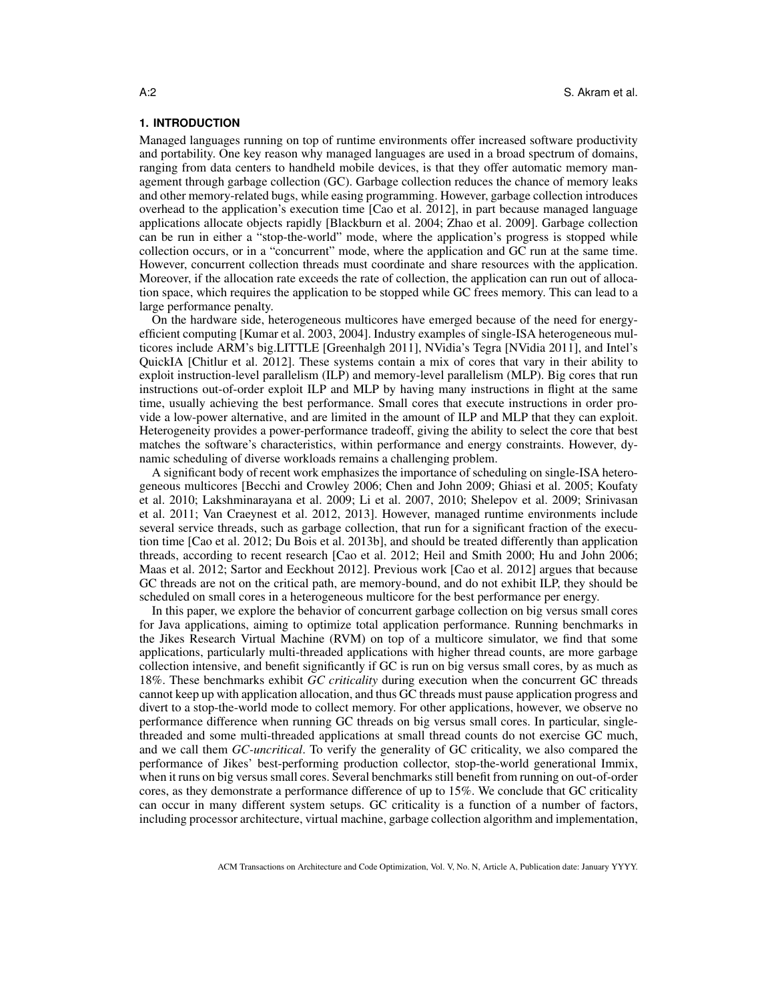#### **1. INTRODUCTION**

Managed languages running on top of runtime environments offer increased software productivity and portability. One key reason why managed languages are used in a broad spectrum of domains, ranging from data centers to handheld mobile devices, is that they offer automatic memory management through garbage collection (GC). Garbage collection reduces the chance of memory leaks and other memory-related bugs, while easing programming. However, garbage collection introduces overhead to the application's execution time [Cao et al. 2012], in part because managed language applications allocate objects rapidly [Blackburn et al. 2004; Zhao et al. 2009]. Garbage collection can be run in either a "stop-the-world" mode, where the application's progress is stopped while collection occurs, or in a "concurrent" mode, where the application and GC run at the same time. However, concurrent collection threads must coordinate and share resources with the application. Moreover, if the allocation rate exceeds the rate of collection, the application can run out of allocation space, which requires the application to be stopped while GC frees memory. This can lead to a large performance penalty.

On the hardware side, heterogeneous multicores have emerged because of the need for energyefficient computing [Kumar et al. 2003, 2004]. Industry examples of single-ISA heterogeneous multicores include ARM's big.LITTLE [Greenhalgh 2011], NVidia's Tegra [NVidia 2011], and Intel's QuickIA [Chitlur et al. 2012]. These systems contain a mix of cores that vary in their ability to exploit instruction-level parallelism (ILP) and memory-level parallelism (MLP). Big cores that run instructions out-of-order exploit ILP and MLP by having many instructions in flight at the same time, usually achieving the best performance. Small cores that execute instructions in order provide a low-power alternative, and are limited in the amount of ILP and MLP that they can exploit. Heterogeneity provides a power-performance tradeoff, giving the ability to select the core that best matches the software's characteristics, within performance and energy constraints. However, dynamic scheduling of diverse workloads remains a challenging problem.

A significant body of recent work emphasizes the importance of scheduling on single-ISA heterogeneous multicores [Becchi and Crowley 2006; Chen and John 2009; Ghiasi et al. 2005; Koufaty et al. 2010; Lakshminarayana et al. 2009; Li et al. 2007, 2010; Shelepov et al. 2009; Srinivasan et al. 2011; Van Craeynest et al. 2012, 2013]. However, managed runtime environments include several service threads, such as garbage collection, that run for a significant fraction of the execution time [Cao et al. 2012; Du Bois et al. 2013b], and should be treated differently than application threads, according to recent research [Cao et al. 2012; Heil and Smith 2000; Hu and John 2006; Maas et al. 2012; Sartor and Eeckhout 2012]. Previous work [Cao et al. 2012] argues that because GC threads are not on the critical path, are memory-bound, and do not exhibit ILP, they should be scheduled on small cores in a heterogeneous multicore for the best performance per energy.

In this paper, we explore the behavior of concurrent garbage collection on big versus small cores for Java applications, aiming to optimize total application performance. Running benchmarks in the Jikes Research Virtual Machine (RVM) on top of a multicore simulator, we find that some applications, particularly multi-threaded applications with higher thread counts, are more garbage collection intensive, and benefit significantly if GC is run on big versus small cores, by as much as 18%. These benchmarks exhibit *GC criticality* during execution when the concurrent GC threads cannot keep up with application allocation, and thus GC threads must pause application progress and divert to a stop-the-world mode to collect memory. For other applications, however, we observe no performance difference when running GC threads on big versus small cores. In particular, singlethreaded and some multi-threaded applications at small thread counts do not exercise GC much, and we call them *GC-uncritical*. To verify the generality of GC criticality, we also compared the performance of Jikes' best-performing production collector, stop-the-world generational Immix, when it runs on big versus small cores. Several benchmarks still benefit from running on out-of-order cores, as they demonstrate a performance difference of up to 15%. We conclude that GC criticality can occur in many different system setups. GC criticality is a function of a number of factors, including processor architecture, virtual machine, garbage collection algorithm and implementation,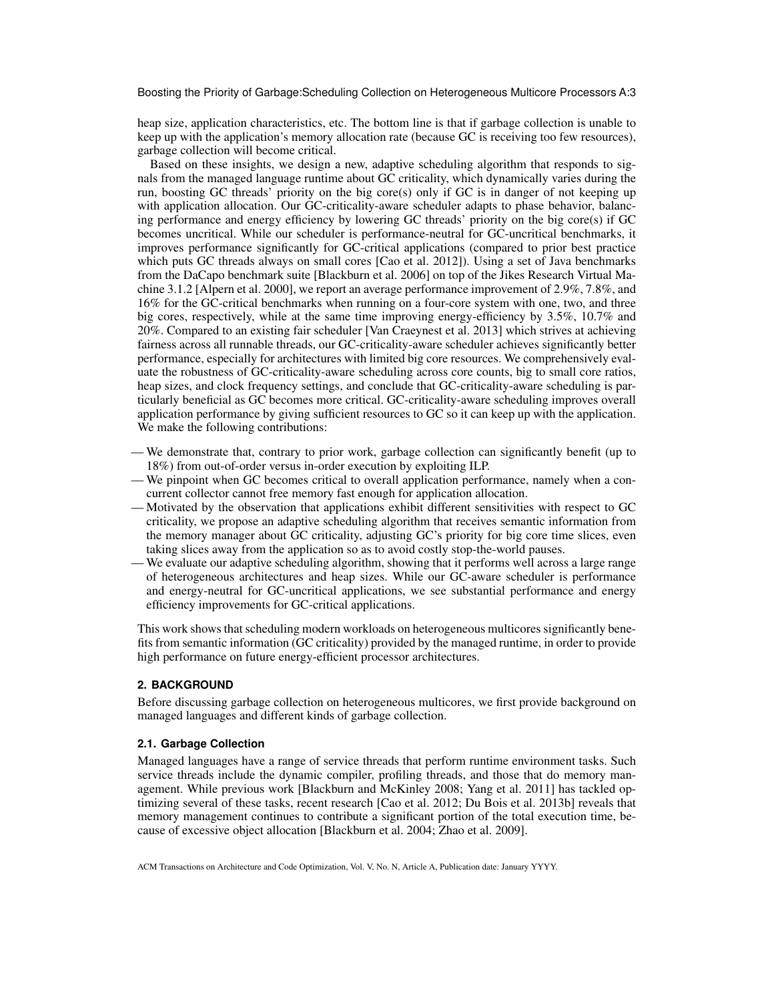heap size, application characteristics, etc. The bottom line is that if garbage collection is unable to keep up with the application's memory allocation rate (because GC is receiving too few resources), garbage collection will become critical.

Based on these insights, we design a new, adaptive scheduling algorithm that responds to signals from the managed language runtime about GC criticality, which dynamically varies during the run, boosting GC threads' priority on the big core(s) only if GC is in danger of not keeping up with application allocation. Our GC-criticality-aware scheduler adapts to phase behavior, balancing performance and energy efficiency by lowering GC threads' priority on the big core(s) if GC becomes uncritical. While our scheduler is performance-neutral for GC-uncritical benchmarks, it improves performance significantly for GC-critical applications (compared to prior best practice which puts GC threads always on small cores [Cao et al. 2012]). Using a set of Java benchmarks from the DaCapo benchmark suite [Blackburn et al. 2006] on top of the Jikes Research Virtual Machine 3.1.2 [Alpern et al. 2000], we report an average performance improvement of 2.9%, 7.8%, and 16% for the GC-critical benchmarks when running on a four-core system with one, two, and three big cores, respectively, while at the same time improving energy-efficiency by 3.5%, 10.7% and 20%. Compared to an existing fair scheduler [Van Craeynest et al. 2013] which strives at achieving fairness across all runnable threads, our GC-criticality-aware scheduler achieves significantly better performance, especially for architectures with limited big core resources. We comprehensively evaluate the robustness of GC-criticality-aware scheduling across core counts, big to small core ratios, heap sizes, and clock frequency settings, and conclude that GC-criticality-aware scheduling is particularly beneficial as GC becomes more critical. GC-criticality-aware scheduling improves overall application performance by giving sufficient resources to GC so it can keep up with the application. We make the following contributions:

- We demonstrate that, contrary to prior work, garbage collection can significantly benefit (up to 18%) from out-of-order versus in-order execution by exploiting ILP.
- We pinpoint when GC becomes critical to overall application performance, namely when a concurrent collector cannot free memory fast enough for application allocation.
- Motivated by the observation that applications exhibit different sensitivities with respect to GC criticality, we propose an adaptive scheduling algorithm that receives semantic information from the memory manager about GC criticality, adjusting GC's priority for big core time slices, even taking slices away from the application so as to avoid costly stop-the-world pauses.
- We evaluate our adaptive scheduling algorithm, showing that it performs well across a large range of heterogeneous architectures and heap sizes. While our GC-aware scheduler is performance and energy-neutral for GC-uncritical applications, we see substantial performance and energy efficiency improvements for GC-critical applications.

This work shows that scheduling modern workloads on heterogeneous multicores significantly benefits from semantic information (GC criticality) provided by the managed runtime, in order to provide high performance on future energy-efficient processor architectures.

#### **2. BACKGROUND**

Before discussing garbage collection on heterogeneous multicores, we first provide background on managed languages and different kinds of garbage collection.

#### **2.1. Garbage Collection**

Managed languages have a range of service threads that perform runtime environment tasks. Such service threads include the dynamic compiler, profiling threads, and those that do memory management. While previous work [Blackburn and McKinley 2008; Yang et al. 2011] has tackled optimizing several of these tasks, recent research [Cao et al. 2012; Du Bois et al. 2013b] reveals that memory management continues to contribute a significant portion of the total execution time, because of excessive object allocation [Blackburn et al. 2004; Zhao et al. 2009].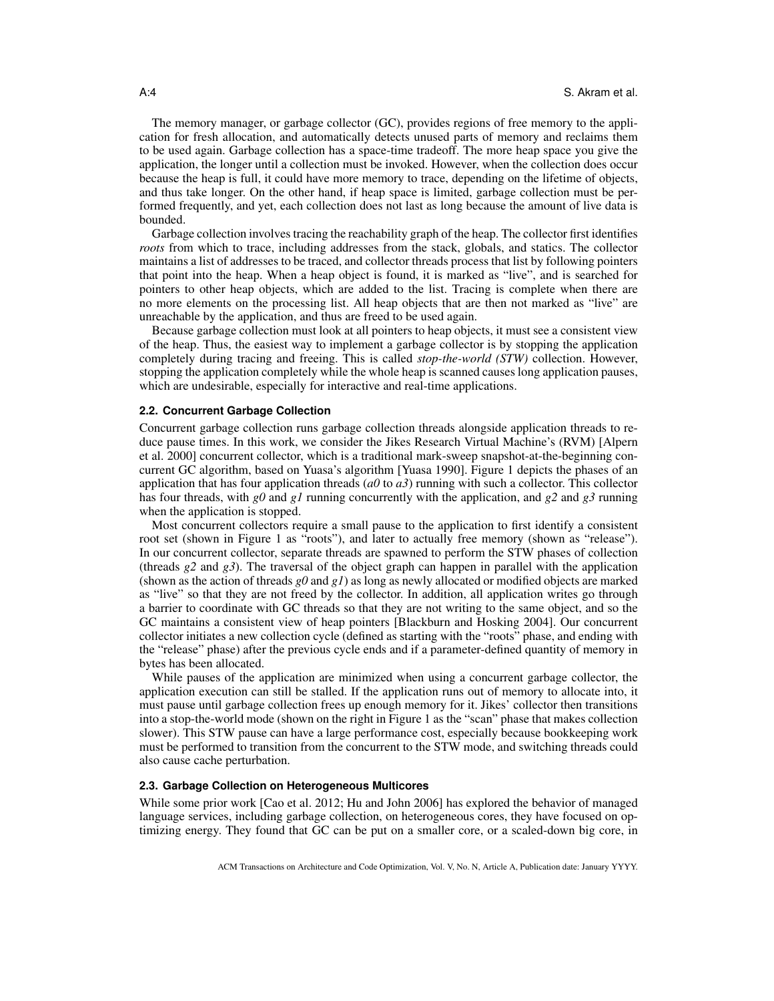The memory manager, or garbage collector (GC), provides regions of free memory to the application for fresh allocation, and automatically detects unused parts of memory and reclaims them to be used again. Garbage collection has a space-time tradeoff. The more heap space you give the application, the longer until a collection must be invoked. However, when the collection does occur because the heap is full, it could have more memory to trace, depending on the lifetime of objects, and thus take longer. On the other hand, if heap space is limited, garbage collection must be performed frequently, and yet, each collection does not last as long because the amount of live data is bounded.

Garbage collection involves tracing the reachability graph of the heap. The collector first identifies *roots* from which to trace, including addresses from the stack, globals, and statics. The collector maintains a list of addresses to be traced, and collector threads process that list by following pointers that point into the heap. When a heap object is found, it is marked as "live", and is searched for pointers to other heap objects, which are added to the list. Tracing is complete when there are no more elements on the processing list. All heap objects that are then not marked as "live" are unreachable by the application, and thus are freed to be used again.

Because garbage collection must look at all pointers to heap objects, it must see a consistent view of the heap. Thus, the easiest way to implement a garbage collector is by stopping the application completely during tracing and freeing. This is called *stop-the-world (STW)* collection. However, stopping the application completely while the whole heap is scanned causes long application pauses, which are undesirable, especially for interactive and real-time applications.

#### **2.2. Concurrent Garbage Collection**

Concurrent garbage collection runs garbage collection threads alongside application threads to reduce pause times. In this work, we consider the Jikes Research Virtual Machine's (RVM) [Alpern et al. 2000] concurrent collector, which is a traditional mark-sweep snapshot-at-the-beginning concurrent GC algorithm, based on Yuasa's algorithm [Yuasa 1990]. Figure 1 depicts the phases of an application that has four application threads (*a0* to *a3*) running with such a collector. This collector has four threads, with *g0* and *g1* running concurrently with the application, and *g2* and *g3* running when the application is stopped.

Most concurrent collectors require a small pause to the application to first identify a consistent root set (shown in Figure 1 as "roots"), and later to actually free memory (shown as "release"). In our concurrent collector, separate threads are spawned to perform the STW phases of collection (threads *g2* and *g3*). The traversal of the object graph can happen in parallel with the application (shown as the action of threads *g0* and *g1*) as long as newly allocated or modified objects are marked as "live" so that they are not freed by the collector. In addition, all application writes go through a barrier to coordinate with GC threads so that they are not writing to the same object, and so the GC maintains a consistent view of heap pointers [Blackburn and Hosking 2004]. Our concurrent collector initiates a new collection cycle (defined as starting with the "roots" phase, and ending with the "release" phase) after the previous cycle ends and if a parameter-defined quantity of memory in bytes has been allocated.

While pauses of the application are minimized when using a concurrent garbage collector, the application execution can still be stalled. If the application runs out of memory to allocate into, it must pause until garbage collection frees up enough memory for it. Jikes' collector then transitions into a stop-the-world mode (shown on the right in Figure 1 as the "scan" phase that makes collection slower). This STW pause can have a large performance cost, especially because bookkeeping work must be performed to transition from the concurrent to the STW mode, and switching threads could also cause cache perturbation.

#### **2.3. Garbage Collection on Heterogeneous Multicores**

While some prior work [Cao et al. 2012; Hu and John 2006] has explored the behavior of managed language services, including garbage collection, on heterogeneous cores, they have focused on optimizing energy. They found that GC can be put on a smaller core, or a scaled-down big core, in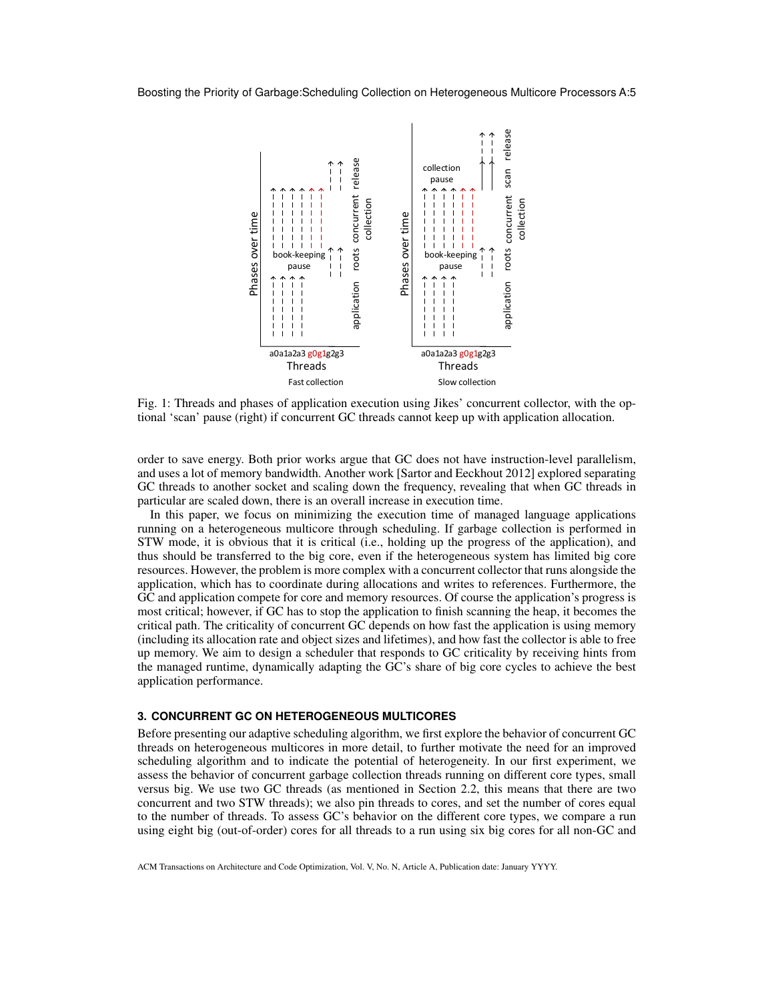

Fig. 1: Threads and phases of application execution using Jikes' concurrent collector, with the optional 'scan' pause (right) if concurrent GC threads cannot keep up with application allocation.

order to save energy. Both prior works argue that GC does not have instruction-level parallelism, and uses a lot of memory bandwidth. Another work [Sartor and Eeckhout 2012] explored separating GC threads to another socket and scaling down the frequency, revealing that when GC threads in particular are scaled down, there is an overall increase in execution time.

In this paper, we focus on minimizing the execution time of managed language applications running on a heterogeneous multicore through scheduling. If garbage collection is performed in STW mode, it is obvious that it is critical (i.e., holding up the progress of the application), and thus should be transferred to the big core, even if the heterogeneous system has limited big core resources. However, the problem is more complex with a concurrent collector that runs alongside the application, which has to coordinate during allocations and writes to references. Furthermore, the GC and application compete for core and memory resources. Of course the application's progress is most critical; however, if GC has to stop the application to finish scanning the heap, it becomes the critical path. The criticality of concurrent GC depends on how fast the application is using memory (including its allocation rate and object sizes and lifetimes), and how fast the collector is able to free up memory. We aim to design a scheduler that responds to GC criticality by receiving hints from the managed runtime, dynamically adapting the GC's share of big core cycles to achieve the best application performance.

## **3. CONCURRENT GC ON HETEROGENEOUS MULTICORES**

Before presenting our adaptive scheduling algorithm, we first explore the behavior of concurrent GC threads on heterogeneous multicores in more detail, to further motivate the need for an improved scheduling algorithm and to indicate the potential of heterogeneity. In our first experiment, we assess the behavior of concurrent garbage collection threads running on different core types, small versus big. We use two GC threads (as mentioned in Section 2.2, this means that there are two concurrent and two STW threads); we also pin threads to cores, and set the number of cores equal to the number of threads. To assess GC's behavior on the different core types, we compare a run using eight big (out-of-order) cores for all threads to a run using six big cores for all non-GC and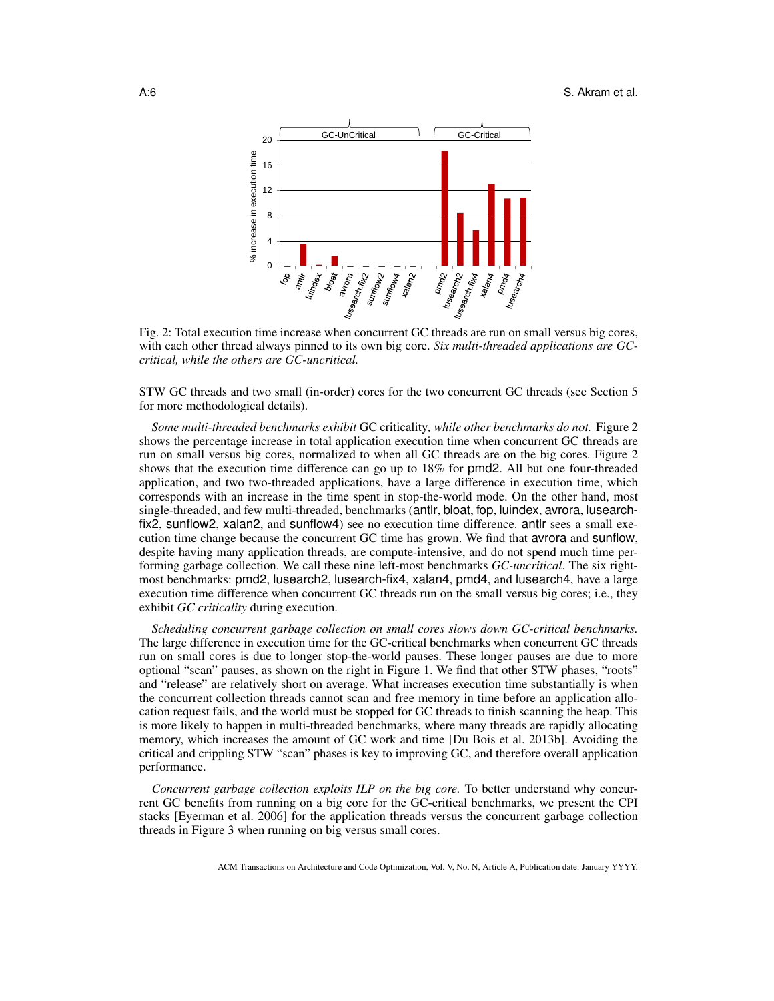

Fig. 2: Total execution time increase when concurrent GC threads are run on small versus big cores, with each other thread always pinned to its own big core. *Six multi-threaded applications are GCcritical, while the others are GC-uncritical.*

STW GC threads and two small (in-order) cores for the two concurrent GC threads (see Section 5 for more methodological details).

*Some multi-threaded benchmarks exhibit* GC criticality*, while other benchmarks do not.* Figure 2 shows the percentage increase in total application execution time when concurrent GC threads are run on small versus big cores, normalized to when all GC threads are on the big cores. Figure 2 shows that the execution time difference can go up to 18% for pmd2. All but one four-threaded application, and two two-threaded applications, have a large difference in execution time, which corresponds with an increase in the time spent in stop-the-world mode. On the other hand, most single-threaded, and few multi-threaded, benchmarks (antlr, bloat, fop, luindex, avrora, lusearchfix2, sunflow2, xalan2, and sunflow4) see no execution time difference. antlr sees a small execution time change because the concurrent GC time has grown. We find that avrora and sunflow, despite having many application threads, are compute-intensive, and do not spend much time performing garbage collection. We call these nine left-most benchmarks *GC-uncritical*. The six rightmost benchmarks: pmd2, lusearch2, lusearch-fix4, xalan4, pmd4, and lusearch4, have a large execution time difference when concurrent GC threads run on the small versus big cores; i.e., they exhibit *GC criticality* during execution.

*Scheduling concurrent garbage collection on small cores slows down GC-critical benchmarks.* The large difference in execution time for the GC-critical benchmarks when concurrent GC threads run on small cores is due to longer stop-the-world pauses. These longer pauses are due to more optional "scan" pauses, as shown on the right in Figure 1. We find that other STW phases, "roots" and "release" are relatively short on average. What increases execution time substantially is when the concurrent collection threads cannot scan and free memory in time before an application allocation request fails, and the world must be stopped for GC threads to finish scanning the heap. This is more likely to happen in multi-threaded benchmarks, where many threads are rapidly allocating memory, which increases the amount of GC work and time [Du Bois et al. 2013b]. Avoiding the critical and crippling STW "scan" phases is key to improving GC, and therefore overall application performance.

*Concurrent garbage collection exploits ILP on the big core.* To better understand why concurrent GC benefits from running on a big core for the GC-critical benchmarks, we present the CPI stacks [Eyerman et al. 2006] for the application threads versus the concurrent garbage collection threads in Figure 3 when running on big versus small cores.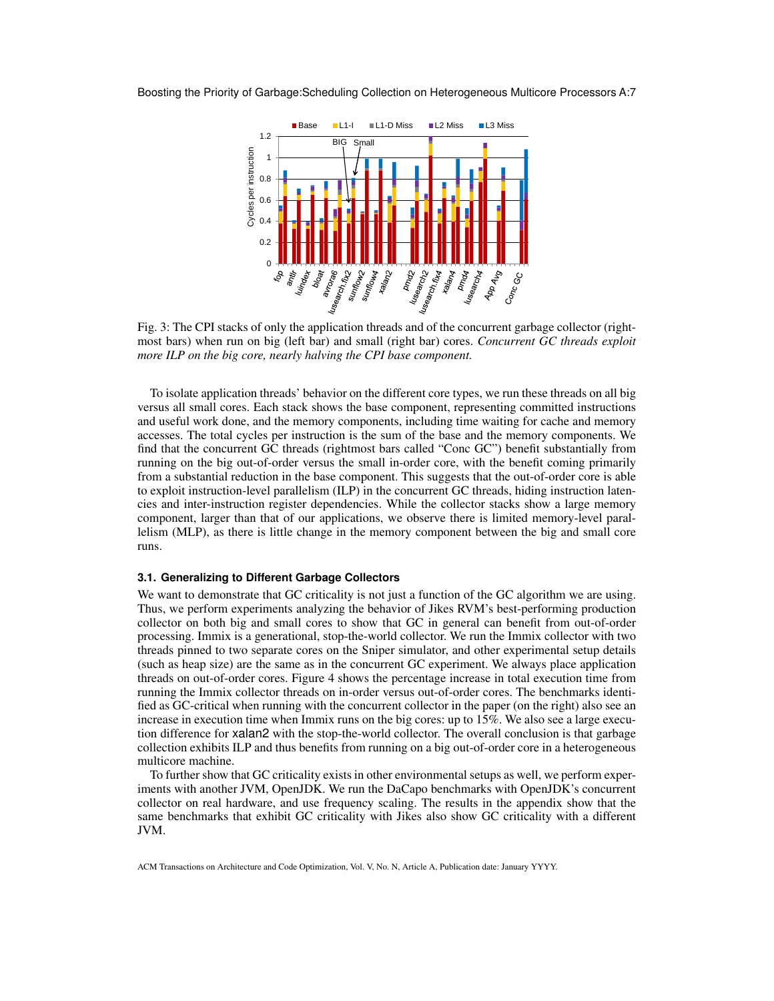

Fig. 3: The CPI stacks of only the application threads and of the concurrent garbage collector (rightmost bars) when run on big (left bar) and small (right bar) cores. *Concurrent GC threads exploit more ILP on the big core, nearly halving the CPI base component.*

To isolate application threads' behavior on the different core types, we run these threads on all big versus all small cores. Each stack shows the base component, representing committed instructions and useful work done, and the memory components, including time waiting for cache and memory accesses. The total cycles per instruction is the sum of the base and the memory components. We find that the concurrent GC threads (rightmost bars called "Conc GC") benefit substantially from running on the big out-of-order versus the small in-order core, with the benefit coming primarily from a substantial reduction in the base component. This suggests that the out-of-order core is able to exploit instruction-level parallelism (ILP) in the concurrent GC threads, hiding instruction latencies and inter-instruction register dependencies. While the collector stacks show a large memory component, larger than that of our applications, we observe there is limited memory-level parallelism (MLP), as there is little change in the memory component between the big and small core runs.

#### **3.1. Generalizing to Different Garbage Collectors**

We want to demonstrate that GC criticality is not just a function of the GC algorithm we are using. Thus, we perform experiments analyzing the behavior of Jikes RVM's best-performing production collector on both big and small cores to show that GC in general can benefit from out-of-order processing. Immix is a generational, stop-the-world collector. We run the Immix collector with two threads pinned to two separate cores on the Sniper simulator, and other experimental setup details (such as heap size) are the same as in the concurrent GC experiment. We always place application threads on out-of-order cores. Figure 4 shows the percentage increase in total execution time from running the Immix collector threads on in-order versus out-of-order cores. The benchmarks identified as GC-critical when running with the concurrent collector in the paper (on the right) also see an increase in execution time when Immix runs on the big cores: up to 15%. We also see a large execution difference for xalan2 with the stop-the-world collector. The overall conclusion is that garbage collection exhibits ILP and thus benefits from running on a big out-of-order core in a heterogeneous multicore machine.

To further show that GC criticality exists in other environmental setups as well, we perform experiments with another JVM, OpenJDK. We run the DaCapo benchmarks with OpenJDK's concurrent collector on real hardware, and use frequency scaling. The results in the appendix show that the same benchmarks that exhibit GC criticality with Jikes also show GC criticality with a different JVM.

ACM Transactions on Architecture and Code Optimization, Vol. V, No. N, Article A, Publication date: January YYYY.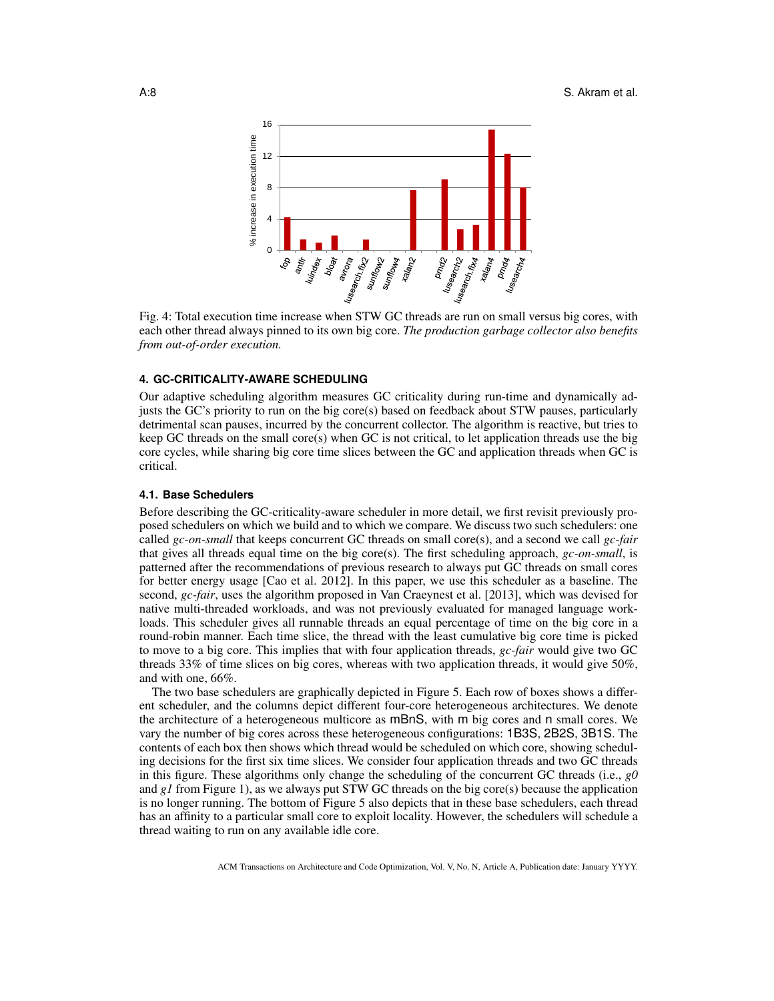

Fig. 4: Total execution time increase when STW GC threads are run on small versus big cores, with each other thread always pinned to its own big core. *The production garbage collector also benefits from out-of-order execution.*

#### **4. GC-CRITICALITY-AWARE SCHEDULING**

Our adaptive scheduling algorithm measures GC criticality during run-time and dynamically adjusts the GC's priority to run on the big core(s) based on feedback about STW pauses, particularly detrimental scan pauses, incurred by the concurrent collector. The algorithm is reactive, but tries to keep GC threads on the small core(s) when GC is not critical, to let application threads use the big core cycles, while sharing big core time slices between the GC and application threads when GC is critical.

#### **4.1. Base Schedulers**

Before describing the GC-criticality-aware scheduler in more detail, we first revisit previously proposed schedulers on which we build and to which we compare. We discuss two such schedulers: one called *gc-on-small* that keeps concurrent GC threads on small core(s), and a second we call *gc-fair* that gives all threads equal time on the big core(s). The first scheduling approach, *gc-on-small*, is patterned after the recommendations of previous research to always put GC threads on small cores for better energy usage [Cao et al. 2012]. In this paper, we use this scheduler as a baseline. The second, *gc-fair*, uses the algorithm proposed in Van Craeynest et al. [2013], which was devised for native multi-threaded workloads, and was not previously evaluated for managed language workloads. This scheduler gives all runnable threads an equal percentage of time on the big core in a round-robin manner. Each time slice, the thread with the least cumulative big core time is picked to move to a big core. This implies that with four application threads, *gc-fair* would give two GC threads 33% of time slices on big cores, whereas with two application threads, it would give 50%, and with one, 66%.

The two base schedulers are graphically depicted in Figure 5. Each row of boxes shows a different scheduler, and the columns depict different four-core heterogeneous architectures. We denote the architecture of a heterogeneous multicore as mBnS, with m big cores and n small cores. We vary the number of big cores across these heterogeneous configurations: 1B3S, 2B2S, 3B1S. The contents of each box then shows which thread would be scheduled on which core, showing scheduling decisions for the first six time slices. We consider four application threads and two GC threads in this figure. These algorithms only change the scheduling of the concurrent GC threads (i.e., *g0* and *g1* from Figure 1), as we always put STW GC threads on the big core(s) because the application is no longer running. The bottom of Figure 5 also depicts that in these base schedulers, each thread has an affinity to a particular small core to exploit locality. However, the schedulers will schedule a thread waiting to run on any available idle core.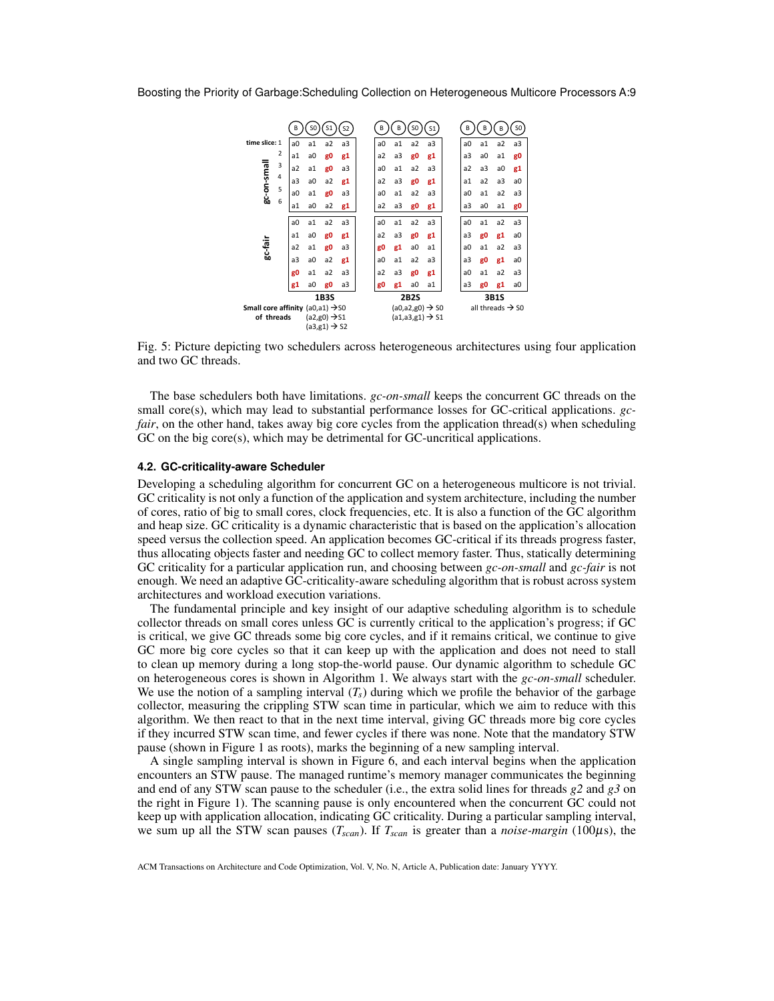

Fig. 5: Picture depicting two schedulers across heterogeneous architectures using four application and two GC threads.

The base schedulers both have limitations. *gc-on-small* keeps the concurrent GC threads on the small core(s), which may lead to substantial performance losses for GC-critical applications. *gcfair*, on the other hand, takes away big core cycles from the application thread(s) when scheduling GC on the big core(s), which may be detrimental for GC-uncritical applications.

#### **4.2. GC-criticality-aware Scheduler**

Developing a scheduling algorithm for concurrent GC on a heterogeneous multicore is not trivial. GC criticality is not only a function of the application and system architecture, including the number of cores, ratio of big to small cores, clock frequencies, etc. It is also a function of the GC algorithm and heap size. GC criticality is a dynamic characteristic that is based on the application's allocation speed versus the collection speed. An application becomes GC-critical if its threads progress faster, thus allocating objects faster and needing GC to collect memory faster. Thus, statically determining GC criticality for a particular application run, and choosing between *gc-on-small* and *gc-fair* is not enough. We need an adaptive GC-criticality-aware scheduling algorithm that is robust across system architectures and workload execution variations.

The fundamental principle and key insight of our adaptive scheduling algorithm is to schedule collector threads on small cores unless GC is currently critical to the application's progress; if GC is critical, we give GC threads some big core cycles, and if it remains critical, we continue to give GC more big core cycles so that it can keep up with the application and does not need to stall to clean up memory during a long stop-the-world pause. Our dynamic algorithm to schedule GC on heterogeneous cores is shown in Algorithm 1. We always start with the *gc-on-small* scheduler. We use the notion of a sampling interval  $(T_s)$  during which we profile the behavior of the garbage collector, measuring the crippling STW scan time in particular, which we aim to reduce with this algorithm. We then react to that in the next time interval, giving GC threads more big core cycles if they incurred STW scan time, and fewer cycles if there was none. Note that the mandatory STW pause (shown in Figure 1 as roots), marks the beginning of a new sampling interval.

A single sampling interval is shown in Figure 6, and each interval begins when the application encounters an STW pause. The managed runtime's memory manager communicates the beginning and end of any STW scan pause to the scheduler (i.e., the extra solid lines for threads *g2* and *g3* on the right in Figure 1). The scanning pause is only encountered when the concurrent GC could not keep up with application allocation, indicating GC criticality. During a particular sampling interval, we sum up all the STW scan pauses (*Tscan*). If *Tscan* is greater than a *noise-margin* (100µs), the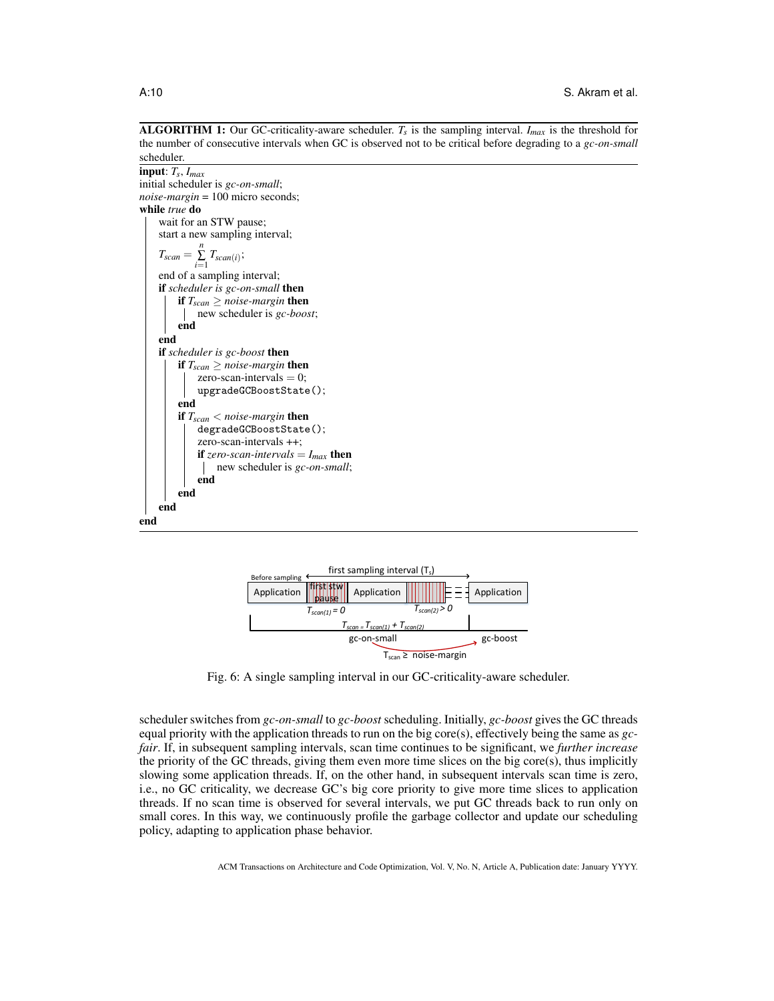**ALGORITHM 1:** Our GC-criticality-aware scheduler.  $T_s$  is the sampling interval.  $I_{max}$  is the threshold for the number of consecutive intervals when GC is observed not to be critical before degrading to a *gc-on-small* scheduler.





Fig. 6: A single sampling interval in our GC-criticality-aware scheduler.

scheduler switches from *gc-on-small* to *gc-boost* scheduling. Initially, *gc-boost* gives the GC threads equal priority with the application threads to run on the big core(s), effectively being the same as *gcfair*. If, in subsequent sampling intervals, scan time continues to be significant, we *further increase* the priority of the GC threads, giving them even more time slices on the big core(s), thus implicitly slowing some application threads. If, on the other hand, in subsequent intervals scan time is zero, i.e., no GC criticality, we decrease GC's big core priority to give more time slices to application threads. If no scan time is observed for several intervals, we put GC threads back to run only on small cores. In this way, we continuously profile the garbage collector and update our scheduling policy, adapting to application phase behavior.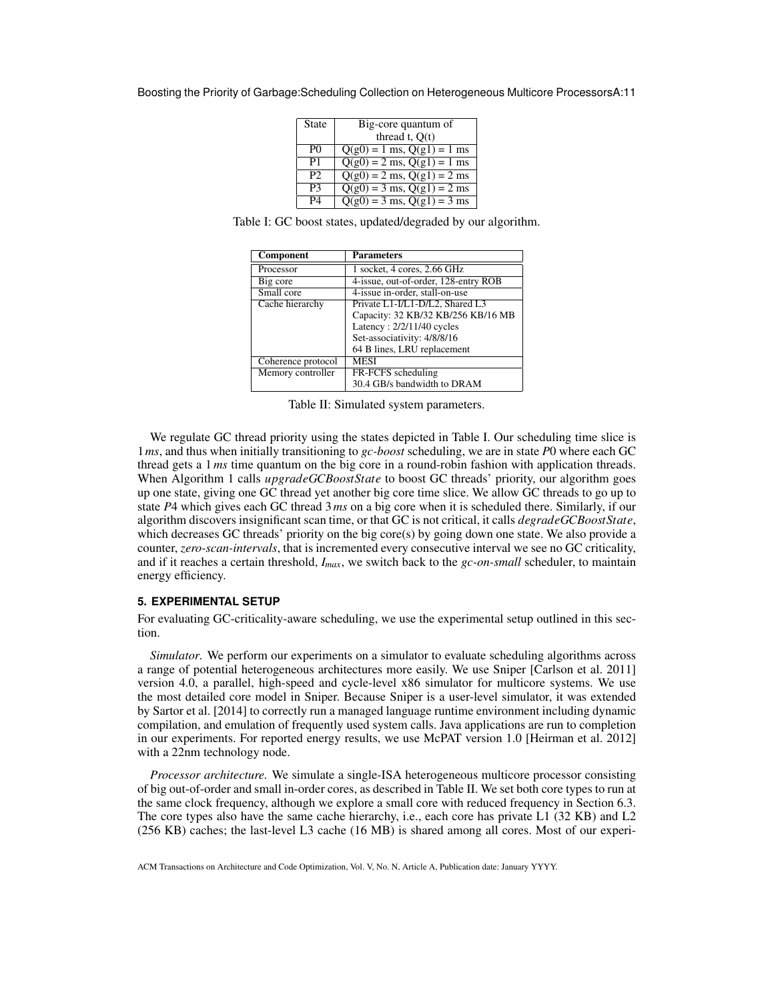|  |  | Boosting the Priority of Garbage:Scheduling Collection on Heterogeneous Multicore ProcessorsA:11 |
|--|--|--------------------------------------------------------------------------------------------------|
|  |  |                                                                                                  |

| <b>State</b>   | Big-core quantum of            |  |  |
|----------------|--------------------------------|--|--|
|                | thread $t$ , $O(t)$            |  |  |
| P <sub>0</sub> | $Q(g0) = 1$ ms, $Q(g1) = 1$ ms |  |  |
| P <sub>1</sub> | $Q(g0) = 2$ ms, $Q(g1) = 1$ ms |  |  |
| P2             | $Q(g0) = 2$ ms, $Q(g1) = 2$ ms |  |  |
| P3             | $Q(g0) = 3$ ms, $Q(g1) = 2$ ms |  |  |
| PΔ             | $Q(g0) = 3$ ms, $Q(g1) = 3$ ms |  |  |

Table I: GC boost states, updated/degraded by our algorithm.

| Component          | <b>Parameters</b>                    |  |
|--------------------|--------------------------------------|--|
| Processor          | 1 socket, 4 cores, 2.66 GHz          |  |
| Big core           | 4-issue, out-of-order, 128-entry ROB |  |
| Small core         | 4-issue in-order, stall-on-use       |  |
| Cache hierarchy    | Private L1-I/L1-D/L2, Shared L3      |  |
|                    | Capacity: 32 KB/32 KB/256 KB/16 MB   |  |
|                    | Latency: 2/2/11/40 cycles            |  |
|                    | Set-associativity: 4/8/8/16          |  |
|                    | 64 B lines, LRU replacement          |  |
| Coherence protocol | <b>MESI</b>                          |  |
| Memory controller  | FR-FCFS scheduling                   |  |
|                    | 30.4 GB/s bandwidth to DRAM          |  |

Table II: Simulated system parameters.

We regulate GC thread priority using the states depicted in Table I. Our scheduling time slice is 1*ms*, and thus when initially transitioning to *gc-boost* scheduling, we are in state *P*0 where each GC thread gets a 1 *ms* time quantum on the big core in a round-robin fashion with application threads. When Algorithm 1 calls *upgradeGCBoostState* to boost GC threads' priority, our algorithm goes up one state, giving one GC thread yet another big core time slice. We allow GC threads to go up to state *P*4 which gives each GC thread 3*ms* on a big core when it is scheduled there. Similarly, if our algorithm discovers insignificant scan time, or that GC is not critical, it calls *degradeGCBoostState*, which decreases GC threads' priority on the big core(s) by going down one state. We also provide a counter, *zero-scan-intervals*, that is incremented every consecutive interval we see no GC criticality, and if it reaches a certain threshold, *Imax*, we switch back to the *gc-on-small* scheduler, to maintain energy efficiency.

## **5. EXPERIMENTAL SETUP**

For evaluating GC-criticality-aware scheduling, we use the experimental setup outlined in this section.

*Simulator.* We perform our experiments on a simulator to evaluate scheduling algorithms across a range of potential heterogeneous architectures more easily. We use Sniper [Carlson et al. 2011] version 4.0, a parallel, high-speed and cycle-level x86 simulator for multicore systems. We use the most detailed core model in Sniper. Because Sniper is a user-level simulator, it was extended by Sartor et al. [2014] to correctly run a managed language runtime environment including dynamic compilation, and emulation of frequently used system calls. Java applications are run to completion in our experiments. For reported energy results, we use McPAT version 1.0 [Heirman et al. 2012] with a 22nm technology node.

*Processor architecture.* We simulate a single-ISA heterogeneous multicore processor consisting of big out-of-order and small in-order cores, as described in Table II. We set both core types to run at the same clock frequency, although we explore a small core with reduced frequency in Section 6.3. The core types also have the same cache hierarchy, i.e., each core has private L1 (32 KB) and L2 (256 KB) caches; the last-level L3 cache (16 MB) is shared among all cores. Most of our experi-

ACM Transactions on Architecture and Code Optimization, Vol. V, No. N, Article A, Publication date: January YYYY.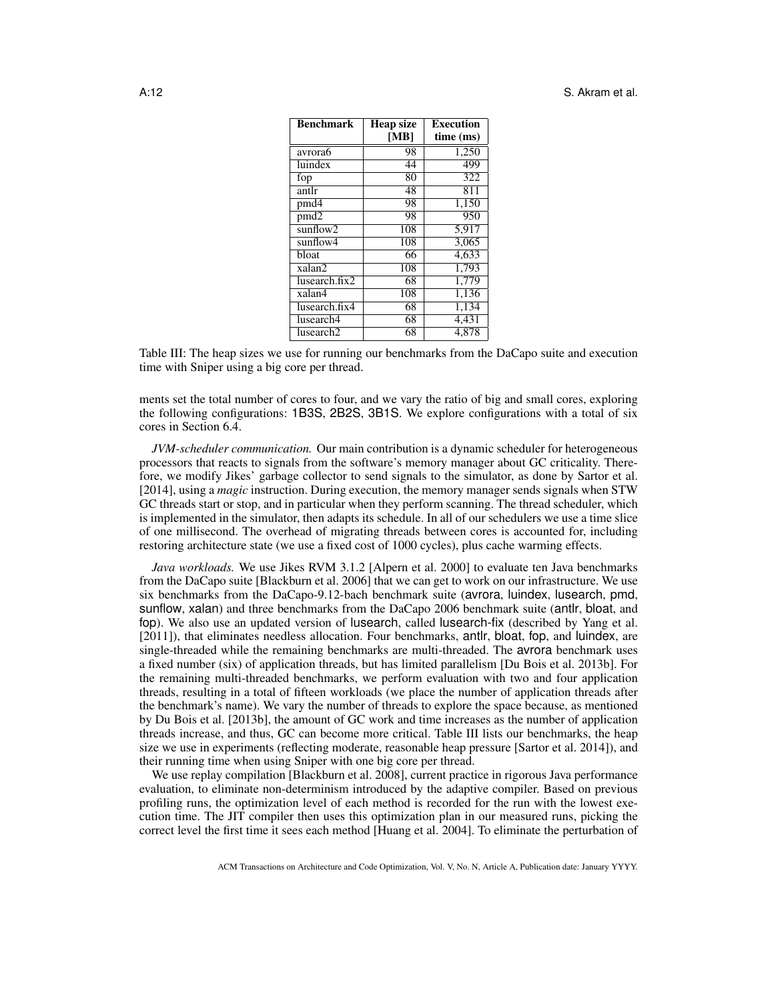| <b>Benchmark</b>   | <b>Heap size</b> | <b>Execution</b> |
|--------------------|------------------|------------------|
|                    | [MB]             | time (ms)        |
| avrora6            | 98               | 1,250            |
| luindex            | 44               | 499              |
| fop                | 80               | 322              |
| antlr              | 48               | $\overline{811}$ |
| $pm\overline{d4}$  | 98               | 1,150            |
| pmd2               | 98               | 950              |
| $\sin\theta$ flow2 | 108              | 5,917            |
| sunflow4           | 108              | 3,065            |
| bloat              | 66               | 4,633            |
| xalan2             | 108              | 1,793            |
| lusearch.fix2      | 68               | 1,779            |
| xalan4             | 108              | 1,136            |
| lusearch.fix4      | 68               | 1,134            |
| lusearch4          | 68               | 4,431            |
| lusearch2          | 68               | 4.878            |

Table III: The heap sizes we use for running our benchmarks from the DaCapo suite and execution time with Sniper using a big core per thread.

ments set the total number of cores to four, and we vary the ratio of big and small cores, exploring the following configurations: 1B3S, 2B2S, 3B1S. We explore configurations with a total of six cores in Section 6.4.

*JVM-scheduler communication.* Our main contribution is a dynamic scheduler for heterogeneous processors that reacts to signals from the software's memory manager about GC criticality. Therefore, we modify Jikes' garbage collector to send signals to the simulator, as done by Sartor et al. [2014], using a *magic* instruction. During execution, the memory manager sends signals when STW GC threads start or stop, and in particular when they perform scanning. The thread scheduler, which is implemented in the simulator, then adapts its schedule. In all of our schedulers we use a time slice of one millisecond. The overhead of migrating threads between cores is accounted for, including restoring architecture state (we use a fixed cost of 1000 cycles), plus cache warming effects.

*Java workloads.* We use Jikes RVM 3.1.2 [Alpern et al. 2000] to evaluate ten Java benchmarks from the DaCapo suite [Blackburn et al. 2006] that we can get to work on our infrastructure. We use six benchmarks from the DaCapo-9.12-bach benchmark suite (avrora, luindex, lusearch, pmd, sunflow, xalan) and three benchmarks from the DaCapo 2006 benchmark suite (antlr, bloat, and fop). We also use an updated version of lusearch, called lusearch-fix (described by Yang et al. [2011]), that eliminates needless allocation. Four benchmarks, antlr, bloat, fop, and luindex, are single-threaded while the remaining benchmarks are multi-threaded. The avrora benchmark uses a fixed number (six) of application threads, but has limited parallelism [Du Bois et al. 2013b]. For the remaining multi-threaded benchmarks, we perform evaluation with two and four application threads, resulting in a total of fifteen workloads (we place the number of application threads after the benchmark's name). We vary the number of threads to explore the space because, as mentioned by Du Bois et al. [2013b], the amount of GC work and time increases as the number of application threads increase, and thus, GC can become more critical. Table III lists our benchmarks, the heap size we use in experiments (reflecting moderate, reasonable heap pressure [Sartor et al. 2014]), and their running time when using Sniper with one big core per thread.

We use replay compilation [Blackburn et al. 2008], current practice in rigorous Java performance evaluation, to eliminate non-determinism introduced by the adaptive compiler. Based on previous profiling runs, the optimization level of each method is recorded for the run with the lowest execution time. The JIT compiler then uses this optimization plan in our measured runs, picking the correct level the first time it sees each method [Huang et al. 2004]. To eliminate the perturbation of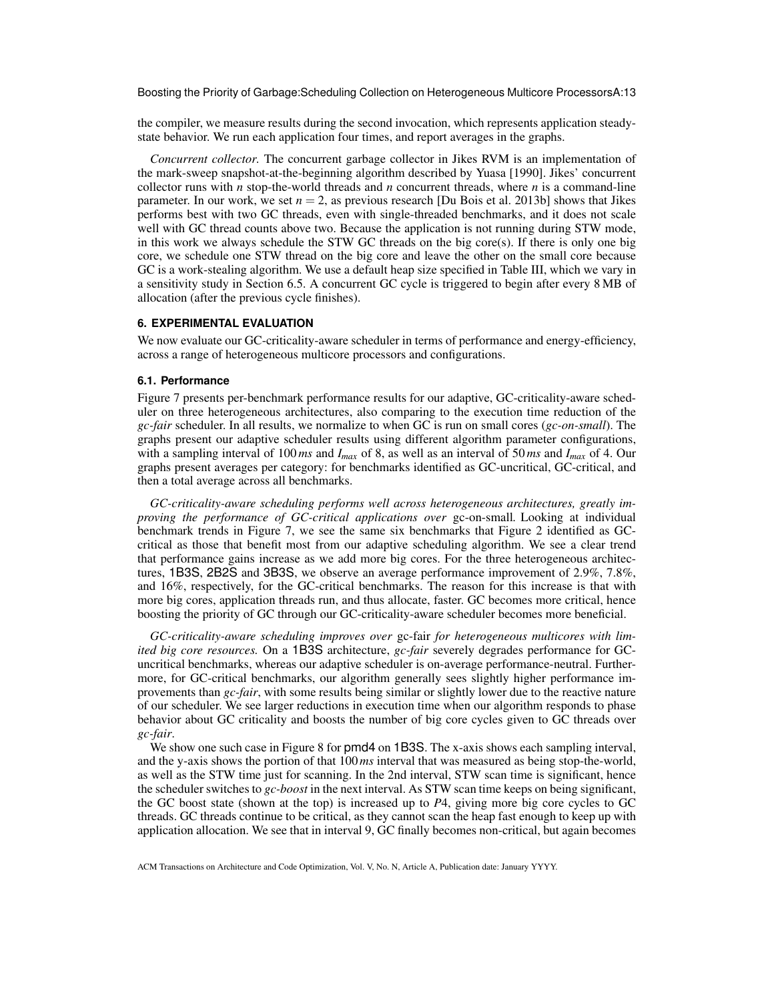the compiler, we measure results during the second invocation, which represents application steadystate behavior. We run each application four times, and report averages in the graphs.

*Concurrent collector.* The concurrent garbage collector in Jikes RVM is an implementation of the mark-sweep snapshot-at-the-beginning algorithm described by Yuasa [1990]. Jikes' concurrent collector runs with *n* stop-the-world threads and *n* concurrent threads, where *n* is a command-line parameter. In our work, we set  $n = 2$ , as previous research [Du Bois et al. 2013b] shows that Jikes performs best with two GC threads, even with single-threaded benchmarks, and it does not scale well with GC thread counts above two. Because the application is not running during STW mode, in this work we always schedule the STW GC threads on the big core(s). If there is only one big core, we schedule one STW thread on the big core and leave the other on the small core because GC is a work-stealing algorithm. We use a default heap size specified in Table III, which we vary in a sensitivity study in Section 6.5. A concurrent GC cycle is triggered to begin after every 8 MB of allocation (after the previous cycle finishes).

### **6. EXPERIMENTAL EVALUATION**

We now evaluate our GC-criticality-aware scheduler in terms of performance and energy-efficiency, across a range of heterogeneous multicore processors and configurations.

### **6.1. Performance**

Figure 7 presents per-benchmark performance results for our adaptive, GC-criticality-aware scheduler on three heterogeneous architectures, also comparing to the execution time reduction of the *gc-fair* scheduler. In all results, we normalize to when GC is run on small cores (*gc-on-small*). The graphs present our adaptive scheduler results using different algorithm parameter configurations, with a sampling interval of 100 *ms* and *Imax* of 8, as well as an interval of 50 *ms* and *Imax* of 4. Our graphs present averages per category: for benchmarks identified as GC-uncritical, GC-critical, and then a total average across all benchmarks.

*GC-criticality-aware scheduling performs well across heterogeneous architectures, greatly improving the performance of GC-critical applications over* gc-on-small*.* Looking at individual benchmark trends in Figure 7, we see the same six benchmarks that Figure 2 identified as GCcritical as those that benefit most from our adaptive scheduling algorithm. We see a clear trend that performance gains increase as we add more big cores. For the three heterogeneous architectures, 1B3S, 2B2S and 3B3S, we observe an average performance improvement of 2.9%, 7.8%, and 16%, respectively, for the GC-critical benchmarks. The reason for this increase is that with more big cores, application threads run, and thus allocate, faster. GC becomes more critical, hence boosting the priority of GC through our GC-criticality-aware scheduler becomes more beneficial.

*GC-criticality-aware scheduling improves over* gc-fair *for heterogeneous multicores with limited big core resources.* On a 1B3S architecture, *gc-fair* severely degrades performance for GCuncritical benchmarks, whereas our adaptive scheduler is on-average performance-neutral. Furthermore, for GC-critical benchmarks, our algorithm generally sees slightly higher performance improvements than *gc-fair*, with some results being similar or slightly lower due to the reactive nature of our scheduler. We see larger reductions in execution time when our algorithm responds to phase behavior about GC criticality and boosts the number of big core cycles given to GC threads over *gc-fair*.

We show one such case in Figure 8 for  $pmd4$  on 1B3S. The x-axis shows each sampling interval, and the y-axis shows the portion of that 100*ms* interval that was measured as being stop-the-world, as well as the STW time just for scanning. In the 2nd interval, STW scan time is significant, hence the scheduler switches to *gc-boost* in the next interval. As STW scan time keeps on being significant, the GC boost state (shown at the top) is increased up to *P*4, giving more big core cycles to GC threads. GC threads continue to be critical, as they cannot scan the heap fast enough to keep up with application allocation. We see that in interval 9, GC finally becomes non-critical, but again becomes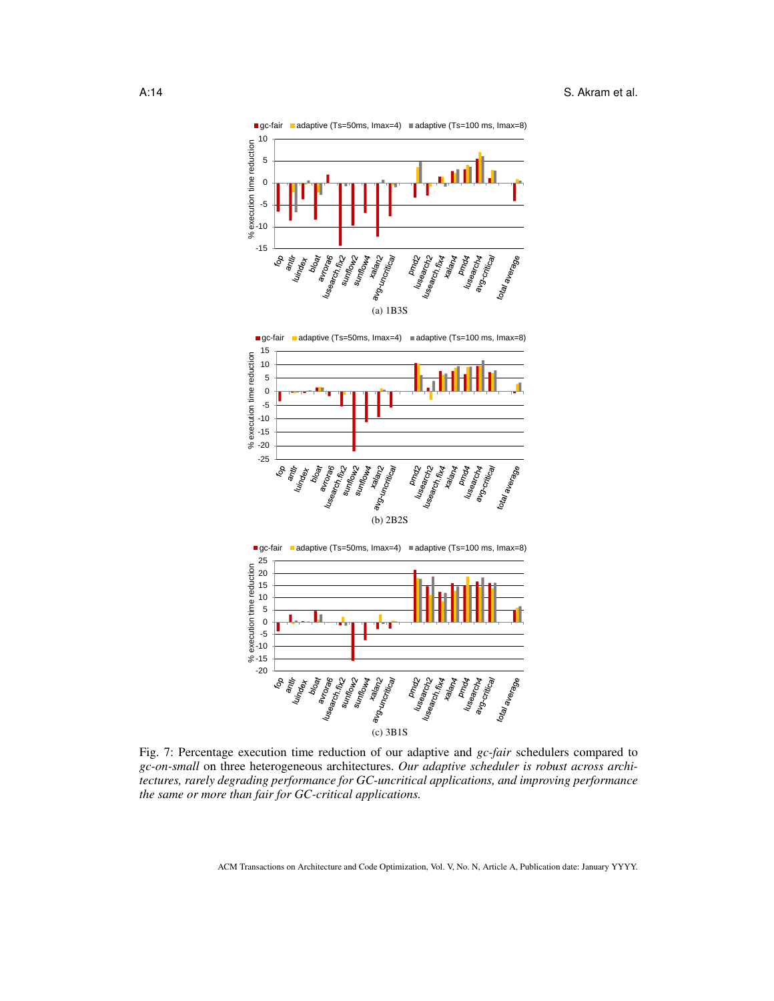

Fig. 7: Percentage execution time reduction of our adaptive and *gc-fair* schedulers compared to *gc-on-small* on three heterogeneous architectures. *Our adaptive scheduler is robust across architectures, rarely degrading performance for GC-uncritical applications, and improving performance the same or more than fair for GC-critical applications.*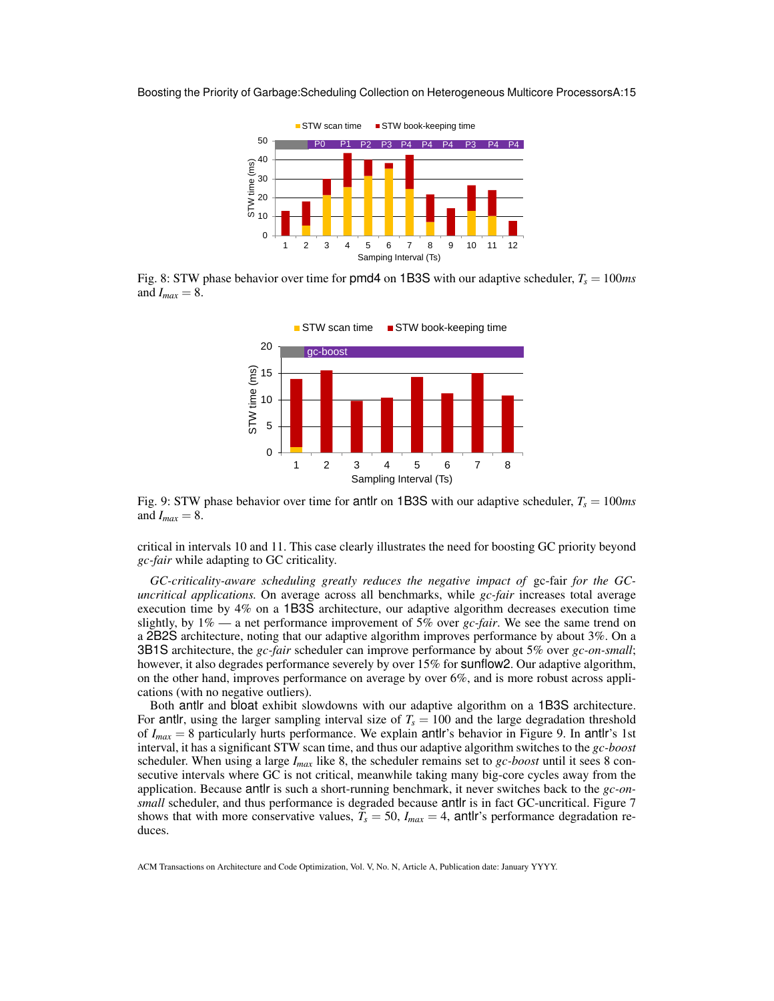

Fig. 8: STW phase behavior over time for **pmd4** on 1B3S with our adaptive scheduler,  $T_s = 100ms$ and  $I_{max} = 8$ .



Fig. 9: STW phase behavior over time for antlr on 1B3S with our adaptive scheduler,  $T_s = 100ms$ and  $I_{max} = 8$ .

critical in intervals 10 and 11. This case clearly illustrates the need for boosting GC priority beyond *gc-fair* while adapting to GC criticality.

*GC-criticality-aware scheduling greatly reduces the negative impact of* gc-fair *for the GCuncritical applications.* On average across all benchmarks, while *gc-fair* increases total average execution time by 4% on a 1B3S architecture, our adaptive algorithm decreases execution time slightly, by 1% — a net performance improvement of 5% over *gc-fair*. We see the same trend on a 2B2S architecture, noting that our adaptive algorithm improves performance by about 3%. On a 3B1S architecture, the *gc-fair* scheduler can improve performance by about 5% over *gc-on-small*; however, it also degrades performance severely by over 15% for sunflow2. Our adaptive algorithm, on the other hand, improves performance on average by over 6%, and is more robust across applications (with no negative outliers).

Both antlr and bloat exhibit slowdowns with our adaptive algorithm on a 1B3S architecture. For antlr, using the larger sampling interval size of  $T<sub>s</sub> = 100$  and the large degradation threshold of *Imax* = 8 particularly hurts performance. We explain antlr's behavior in Figure 9. In antlr's 1st interval, it has a significant STW scan time, and thus our adaptive algorithm switches to the *gc-boost* scheduler. When using a large *Imax* like 8, the scheduler remains set to *gc-boost* until it sees 8 consecutive intervals where GC is not critical, meanwhile taking many big-core cycles away from the application. Because antlr is such a short-running benchmark, it never switches back to the *gc-onsmall* scheduler, and thus performance is degraded because antil is in fact GC-uncritical. Figure 7 shows that with more conservative values,  $T_s = 50$ ,  $I_{max} = 4$ , antlet's performance degradation reduces.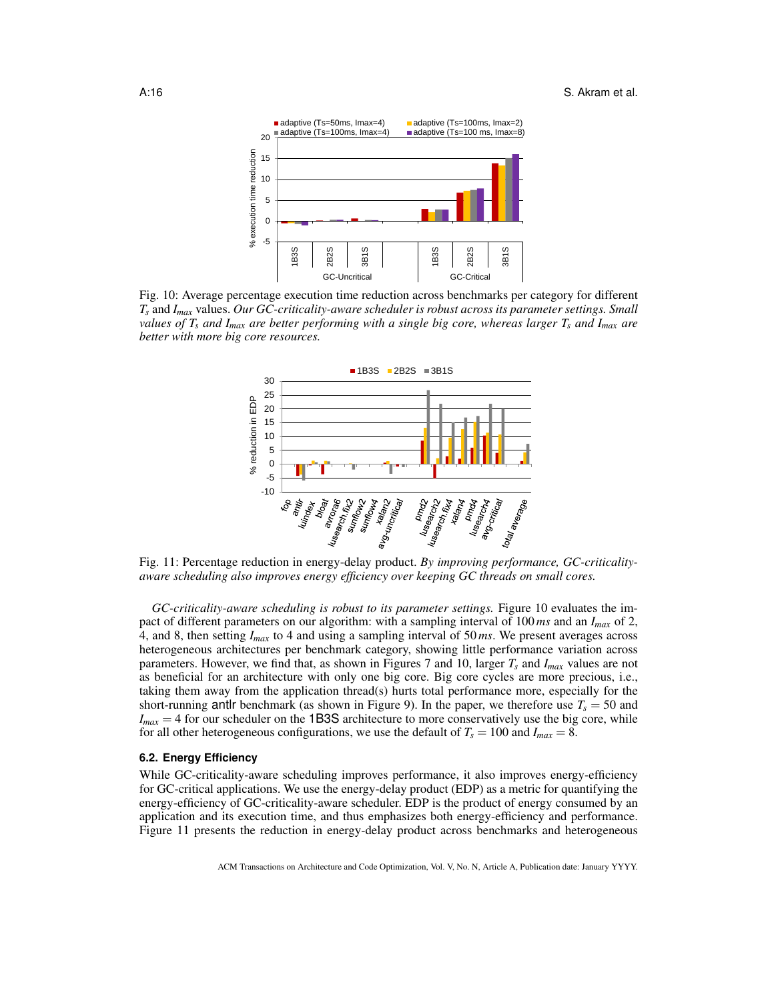

Fig. 10: Average percentage execution time reduction across benchmarks per category for different *T<sup>s</sup>* and *Imax* values. *Our GC-criticality-aware scheduler is robust across its parameter settings. Small values of T<sup>s</sup> and Imax are better performing with a single big core, whereas larger T<sup>s</sup> and Imax are better with more big core resources.*



Fig. 11: Percentage reduction in energy-delay product. *By improving performance, GC-criticalityaware scheduling also improves energy efficiency over keeping GC threads on small cores.*

*GC-criticality-aware scheduling is robust to its parameter settings.* Figure 10 evaluates the impact of different parameters on our algorithm: with a sampling interval of 100 *ms* and an *Imax* of 2, 4, and 8, then setting *Imax* to 4 and using a sampling interval of 50 *ms*. We present averages across heterogeneous architectures per benchmark category, showing little performance variation across parameters. However, we find that, as shown in Figures 7 and 10, larger *T<sup>s</sup>* and *Imax* values are not as beneficial for an architecture with only one big core. Big core cycles are more precious, i.e., taking them away from the application thread(s) hurts total performance more, especially for the short-running antler benchmark (as shown in Figure 9). In the paper, we therefore use  $T_s = 50$  and  $I_{max}$  = 4 for our scheduler on the 1B3S architecture to more conservatively use the big core, while for all other heterogeneous configurations, we use the default of  $T_s = 100$  and  $I_{max} = 8$ .

### **6.2. Energy Efficiency**

While GC-criticality-aware scheduling improves performance, it also improves energy-efficiency for GC-critical applications. We use the energy-delay product (EDP) as a metric for quantifying the energy-efficiency of GC-criticality-aware scheduler. EDP is the product of energy consumed by an application and its execution time, and thus emphasizes both energy-efficiency and performance. Figure 11 presents the reduction in energy-delay product across benchmarks and heterogeneous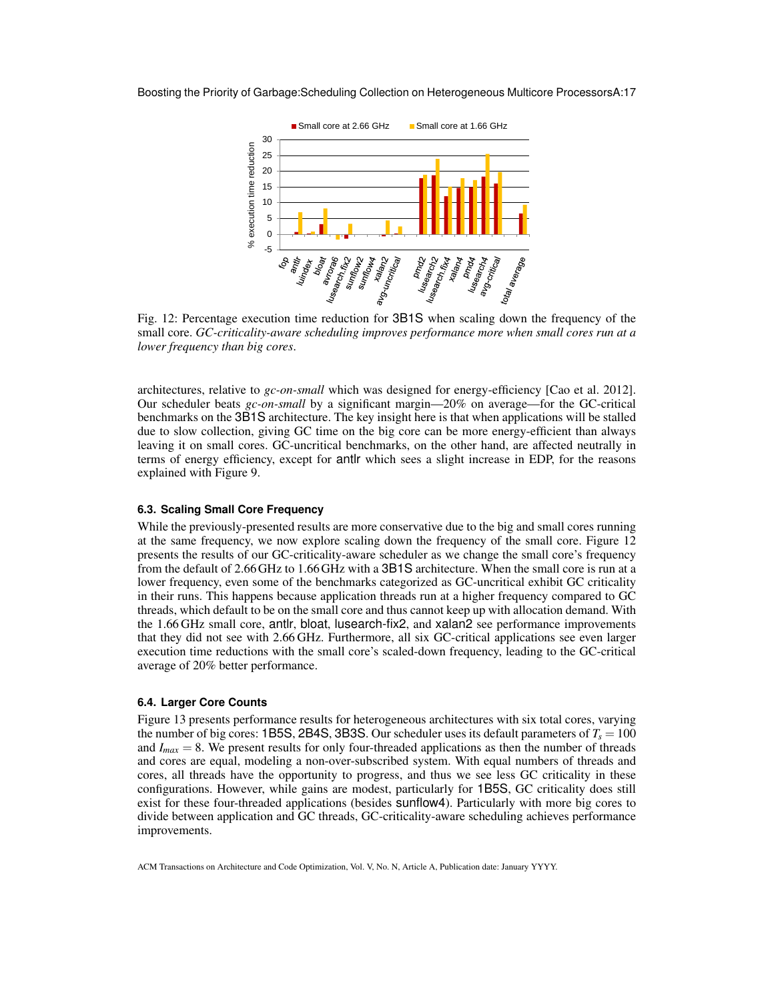

Fig. 12: Percentage execution time reduction for 3B1S when scaling down the frequency of the small core. *GC-criticality-aware scheduling improves performance more when small cores run at a lower frequency than big cores*.

architectures, relative to *gc-on-small* which was designed for energy-efficiency [Cao et al. 2012]. Our scheduler beats *gc-on-small* by a significant margin—20% on average—for the GC-critical benchmarks on the 3B1S architecture. The key insight here is that when applications will be stalled due to slow collection, giving GC time on the big core can be more energy-efficient than always leaving it on small cores. GC-uncritical benchmarks, on the other hand, are affected neutrally in terms of energy efficiency, except for antlr which sees a slight increase in EDP, for the reasons explained with Figure 9.

#### **6.3. Scaling Small Core Frequency**

While the previously-presented results are more conservative due to the big and small cores running at the same frequency, we now explore scaling down the frequency of the small core. Figure 12 presents the results of our GC-criticality-aware scheduler as we change the small core's frequency from the default of 2.66 GHz to 1.66 GHz with a 3B1S architecture. When the small core is run at a lower frequency, even some of the benchmarks categorized as GC-uncritical exhibit GC criticality in their runs. This happens because application threads run at a higher frequency compared to GC threads, which default to be on the small core and thus cannot keep up with allocation demand. With the 1.66 GHz small core, antlr, bloat, lusearch-fix2, and xalan2 see performance improvements that they did not see with 2.66 GHz. Furthermore, all six GC-critical applications see even larger execution time reductions with the small core's scaled-down frequency, leading to the GC-critical average of 20% better performance.

#### **6.4. Larger Core Counts**

Figure 13 presents performance results for heterogeneous architectures with six total cores, varying the number of big cores: 1B5S, 2B4S, 3B3S. Our scheduler uses its default parameters of  $T_s = 100$ and  $I_{max} = 8$ . We present results for only four-threaded applications as then the number of threads and cores are equal, modeling a non-over-subscribed system. With equal numbers of threads and cores, all threads have the opportunity to progress, and thus we see less GC criticality in these configurations. However, while gains are modest, particularly for 1B5S, GC criticality does still exist for these four-threaded applications (besides sunflow4). Particularly with more big cores to divide between application and GC threads, GC-criticality-aware scheduling achieves performance improvements.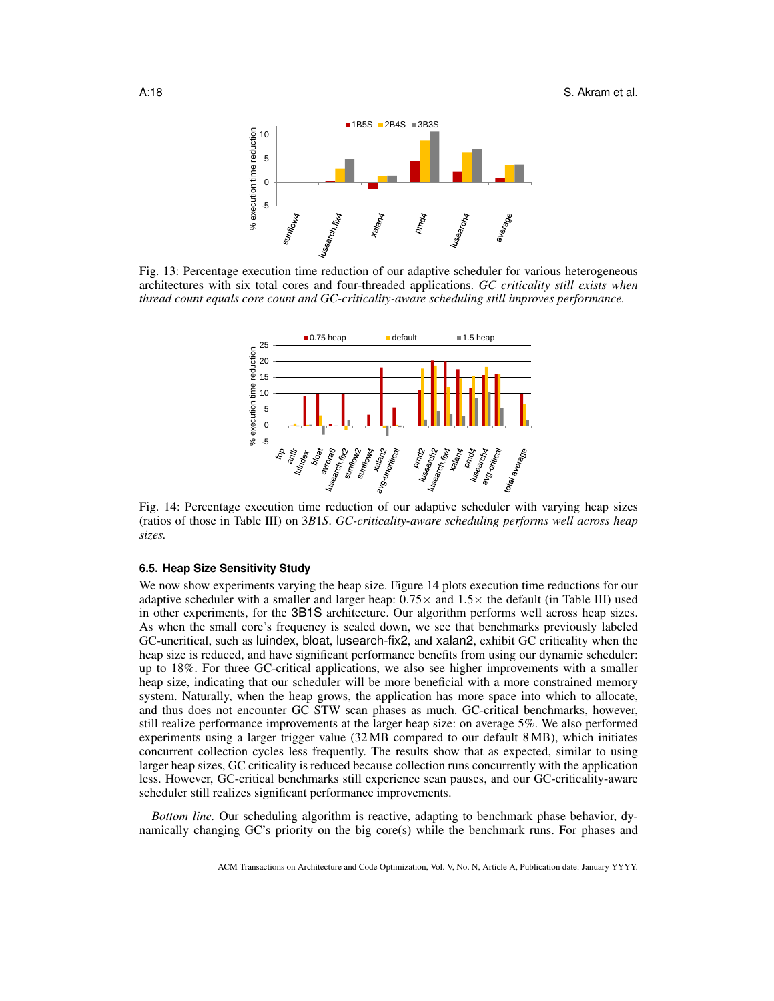

Fig. 13: Percentage execution time reduction of our adaptive scheduler for various heterogeneous architectures with six total cores and four-threaded applications. *GC criticality still exists when thread count equals core count and GC-criticality-aware scheduling still improves performance.*



Fig. 14: Percentage execution time reduction of our adaptive scheduler with varying heap sizes (ratios of those in Table III) on 3*B*1*S*. *GC-criticality-aware scheduling performs well across heap sizes.*

#### **6.5. Heap Size Sensitivity Study**

We now show experiments varying the heap size. Figure 14 plots execution time reductions for our adaptive scheduler with a smaller and larger heap:  $0.75 \times$  and  $1.5 \times$  the default (in Table III) used in other experiments, for the 3B1S architecture. Our algorithm performs well across heap sizes. As when the small core's frequency is scaled down, we see that benchmarks previously labeled GC-uncritical, such as luindex, bloat, lusearch-fix2, and xalan2, exhibit GC criticality when the heap size is reduced, and have significant performance benefits from using our dynamic scheduler: up to 18%. For three GC-critical applications, we also see higher improvements with a smaller heap size, indicating that our scheduler will be more beneficial with a more constrained memory system. Naturally, when the heap grows, the application has more space into which to allocate, and thus does not encounter GC STW scan phases as much. GC-critical benchmarks, however, still realize performance improvements at the larger heap size: on average 5%. We also performed experiments using a larger trigger value (32 MB compared to our default 8 MB), which initiates concurrent collection cycles less frequently. The results show that as expected, similar to using larger heap sizes, GC criticality is reduced because collection runs concurrently with the application less. However, GC-critical benchmarks still experience scan pauses, and our GC-criticality-aware scheduler still realizes significant performance improvements.

*Bottom line.* Our scheduling algorithm is reactive, adapting to benchmark phase behavior, dynamically changing GC's priority on the big core(s) while the benchmark runs. For phases and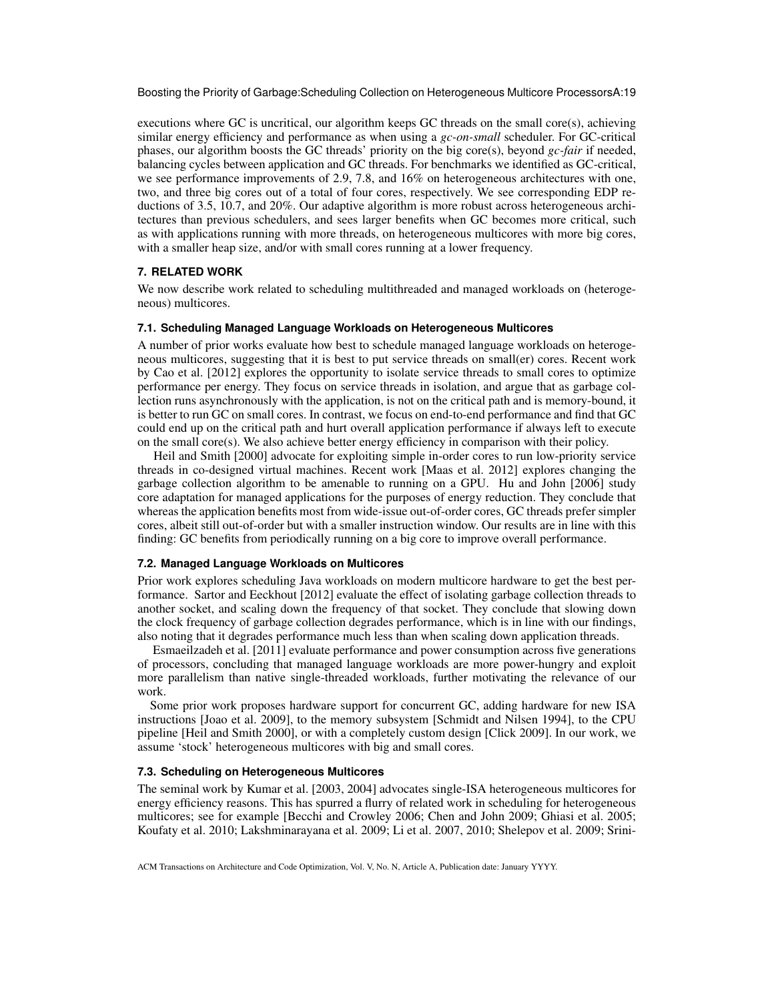executions where GC is uncritical, our algorithm keeps GC threads on the small core(s), achieving similar energy efficiency and performance as when using a *gc-on-small* scheduler. For GC-critical phases, our algorithm boosts the GC threads' priority on the big core(s), beyond *gc-fair* if needed, balancing cycles between application and GC threads. For benchmarks we identified as GC-critical, we see performance improvements of 2.9, 7.8, and 16% on heterogeneous architectures with one, two, and three big cores out of a total of four cores, respectively. We see corresponding EDP reductions of 3.5, 10.7, and 20%. Our adaptive algorithm is more robust across heterogeneous architectures than previous schedulers, and sees larger benefits when GC becomes more critical, such as with applications running with more threads, on heterogeneous multicores with more big cores, with a smaller heap size, and/or with small cores running at a lower frequency.

### **7. RELATED WORK**

We now describe work related to scheduling multithreaded and managed workloads on (heterogeneous) multicores.

## **7.1. Scheduling Managed Language Workloads on Heterogeneous Multicores**

A number of prior works evaluate how best to schedule managed language workloads on heterogeneous multicores, suggesting that it is best to put service threads on small(er) cores. Recent work by Cao et al. [2012] explores the opportunity to isolate service threads to small cores to optimize performance per energy. They focus on service threads in isolation, and argue that as garbage collection runs asynchronously with the application, is not on the critical path and is memory-bound, it is better to run GC on small cores. In contrast, we focus on end-to-end performance and find that GC could end up on the critical path and hurt overall application performance if always left to execute on the small core(s). We also achieve better energy efficiency in comparison with their policy.

Heil and Smith [2000] advocate for exploiting simple in-order cores to run low-priority service threads in co-designed virtual machines. Recent work [Maas et al. 2012] explores changing the garbage collection algorithm to be amenable to running on a GPU. Hu and John [2006] study core adaptation for managed applications for the purposes of energy reduction. They conclude that whereas the application benefits most from wide-issue out-of-order cores, GC threads prefer simpler cores, albeit still out-of-order but with a smaller instruction window. Our results are in line with this finding: GC benefits from periodically running on a big core to improve overall performance.

#### **7.2. Managed Language Workloads on Multicores**

Prior work explores scheduling Java workloads on modern multicore hardware to get the best performance. Sartor and Eeckhout [2012] evaluate the effect of isolating garbage collection threads to another socket, and scaling down the frequency of that socket. They conclude that slowing down the clock frequency of garbage collection degrades performance, which is in line with our findings, also noting that it degrades performance much less than when scaling down application threads.

Esmaeilzadeh et al. [2011] evaluate performance and power consumption across five generations of processors, concluding that managed language workloads are more power-hungry and exploit more parallelism than native single-threaded workloads, further motivating the relevance of our work.

Some prior work proposes hardware support for concurrent GC, adding hardware for new ISA instructions [Joao et al. 2009], to the memory subsystem [Schmidt and Nilsen 1994], to the CPU pipeline [Heil and Smith 2000], or with a completely custom design [Click 2009]. In our work, we assume 'stock' heterogeneous multicores with big and small cores.

### **7.3. Scheduling on Heterogeneous Multicores**

The seminal work by Kumar et al. [2003, 2004] advocates single-ISA heterogeneous multicores for energy efficiency reasons. This has spurred a flurry of related work in scheduling for heterogeneous multicores; see for example [Becchi and Crowley 2006; Chen and John 2009; Ghiasi et al. 2005; Koufaty et al. 2010; Lakshminarayana et al. 2009; Li et al. 2007, 2010; Shelepov et al. 2009; Srini-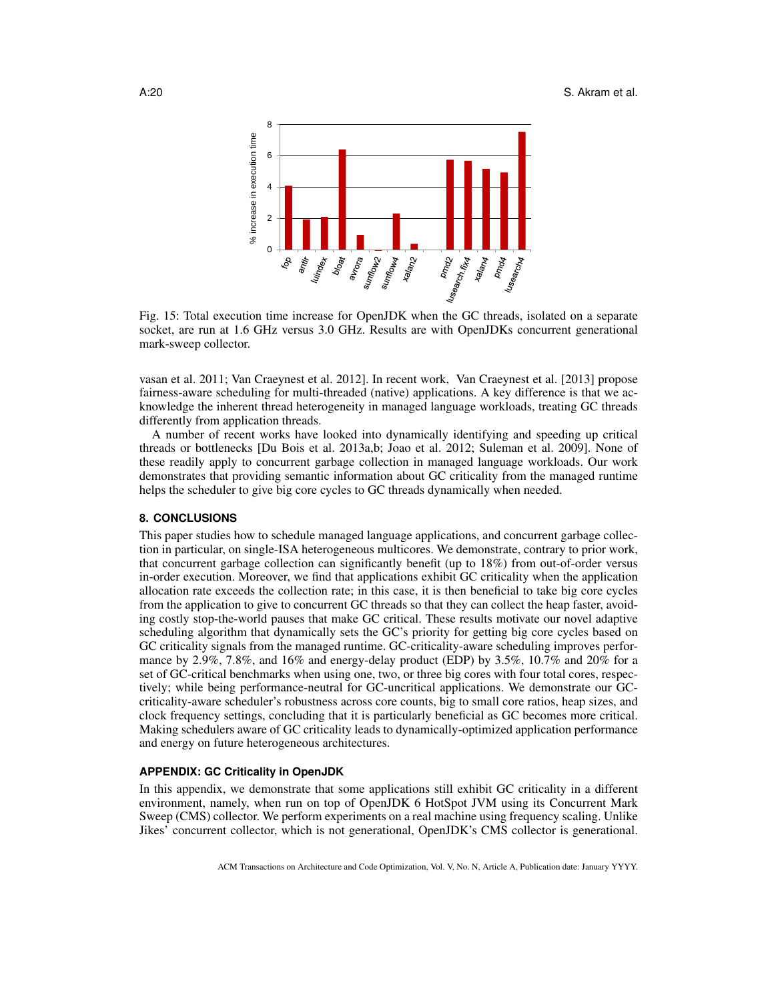

Fig. 15: Total execution time increase for OpenJDK when the GC threads, isolated on a separate socket, are run at 1.6 GHz versus 3.0 GHz. Results are with OpenJDKs concurrent generational mark-sweep collector.

vasan et al. 2011; Van Craeynest et al. 2012]. In recent work, Van Craeynest et al. [2013] propose fairness-aware scheduling for multi-threaded (native) applications. A key difference is that we acknowledge the inherent thread heterogeneity in managed language workloads, treating GC threads differently from application threads.

A number of recent works have looked into dynamically identifying and speeding up critical threads or bottlenecks [Du Bois et al. 2013a,b; Joao et al. 2012; Suleman et al. 2009]. None of these readily apply to concurrent garbage collection in managed language workloads. Our work demonstrates that providing semantic information about GC criticality from the managed runtime helps the scheduler to give big core cycles to GC threads dynamically when needed.

## **8. CONCLUSIONS**

This paper studies how to schedule managed language applications, and concurrent garbage collection in particular, on single-ISA heterogeneous multicores. We demonstrate, contrary to prior work, that concurrent garbage collection can significantly benefit (up to 18%) from out-of-order versus in-order execution. Moreover, we find that applications exhibit GC criticality when the application allocation rate exceeds the collection rate; in this case, it is then beneficial to take big core cycles from the application to give to concurrent GC threads so that they can collect the heap faster, avoiding costly stop-the-world pauses that make GC critical. These results motivate our novel adaptive scheduling algorithm that dynamically sets the GC's priority for getting big core cycles based on GC criticality signals from the managed runtime. GC-criticality-aware scheduling improves performance by 2.9%, 7.8%, and 16% and energy-delay product (EDP) by 3.5%, 10.7% and 20% for a set of GC-critical benchmarks when using one, two, or three big cores with four total cores, respectively; while being performance-neutral for GC-uncritical applications. We demonstrate our GCcriticality-aware scheduler's robustness across core counts, big to small core ratios, heap sizes, and clock frequency settings, concluding that it is particularly beneficial as GC becomes more critical. Making schedulers aware of GC criticality leads to dynamically-optimized application performance and energy on future heterogeneous architectures.

## **APPENDIX: GC Criticality in OpenJDK**

In this appendix, we demonstrate that some applications still exhibit GC criticality in a different environment, namely, when run on top of OpenJDK 6 HotSpot JVM using its Concurrent Mark Sweep (CMS) collector. We perform experiments on a real machine using frequency scaling. Unlike Jikes' concurrent collector, which is not generational, OpenJDK's CMS collector is generational.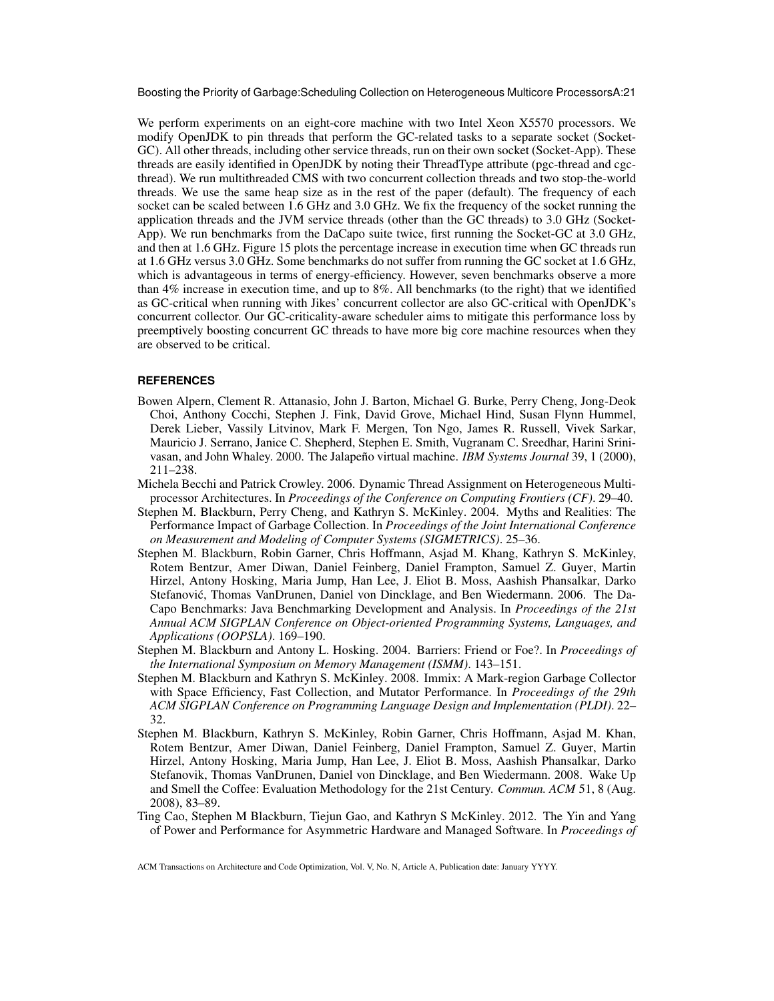We perform experiments on an eight-core machine with two Intel Xeon X5570 processors. We modify OpenJDK to pin threads that perform the GC-related tasks to a separate socket (Socket-GC). All other threads, including other service threads, run on their own socket (Socket-App). These threads are easily identified in OpenJDK by noting their ThreadType attribute (pgc-thread and cgcthread). We run multithreaded CMS with two concurrent collection threads and two stop-the-world threads. We use the same heap size as in the rest of the paper (default). The frequency of each socket can be scaled between 1.6 GHz and 3.0 GHz. We fix the frequency of the socket running the application threads and the JVM service threads (other than the GC threads) to 3.0 GHz (Socket-App). We run benchmarks from the DaCapo suite twice, first running the Socket-GC at 3.0 GHz, and then at 1.6 GHz. Figure 15 plots the percentage increase in execution time when GC threads run at 1.6 GHz versus 3.0 GHz. Some benchmarks do not suffer from running the GC socket at 1.6 GHz, which is advantageous in terms of energy-efficiency. However, seven benchmarks observe a more than 4% increase in execution time, and up to 8%. All benchmarks (to the right) that we identified as GC-critical when running with Jikes' concurrent collector are also GC-critical with OpenJDK's concurrent collector. Our GC-criticality-aware scheduler aims to mitigate this performance loss by preemptively boosting concurrent GC threads to have more big core machine resources when they are observed to be critical.

### **REFERENCES**

- Bowen Alpern, Clement R. Attanasio, John J. Barton, Michael G. Burke, Perry Cheng, Jong-Deok Choi, Anthony Cocchi, Stephen J. Fink, David Grove, Michael Hind, Susan Flynn Hummel, Derek Lieber, Vassily Litvinov, Mark F. Mergen, Ton Ngo, James R. Russell, Vivek Sarkar, Mauricio J. Serrano, Janice C. Shepherd, Stephen E. Smith, Vugranam C. Sreedhar, Harini Srinivasan, and John Whaley. 2000. The Jalapeño virtual machine. *IBM Systems Journal* 39, 1 (2000), 211–238.
- Michela Becchi and Patrick Crowley. 2006. Dynamic Thread Assignment on Heterogeneous Multiprocessor Architectures. In *Proceedings of the Conference on Computing Frontiers (CF)*. 29–40.
- Stephen M. Blackburn, Perry Cheng, and Kathryn S. McKinley. 2004. Myths and Realities: The Performance Impact of Garbage Collection. In *Proceedings of the Joint International Conference on Measurement and Modeling of Computer Systems (SIGMETRICS)*. 25–36.
- Stephen M. Blackburn, Robin Garner, Chris Hoffmann, Asjad M. Khang, Kathryn S. McKinley, Rotem Bentzur, Amer Diwan, Daniel Feinberg, Daniel Frampton, Samuel Z. Guyer, Martin Hirzel, Antony Hosking, Maria Jump, Han Lee, J. Eliot B. Moss, Aashish Phansalkar, Darko Stefanovic, Thomas VanDrunen, Daniel von Dincklage, and Ben Wiedermann. 2006. The Da- ´ Capo Benchmarks: Java Benchmarking Development and Analysis. In *Proceedings of the 21st Annual ACM SIGPLAN Conference on Object-oriented Programming Systems, Languages, and Applications (OOPSLA)*. 169–190.
- Stephen M. Blackburn and Antony L. Hosking. 2004. Barriers: Friend or Foe?. In *Proceedings of the International Symposium on Memory Management (ISMM)*. 143–151.
- Stephen M. Blackburn and Kathryn S. McKinley. 2008. Immix: A Mark-region Garbage Collector with Space Efficiency, Fast Collection, and Mutator Performance. In *Proceedings of the 29th ACM SIGPLAN Conference on Programming Language Design and Implementation (PLDI)*. 22– 32.
- Stephen M. Blackburn, Kathryn S. McKinley, Robin Garner, Chris Hoffmann, Asjad M. Khan, Rotem Bentzur, Amer Diwan, Daniel Feinberg, Daniel Frampton, Samuel Z. Guyer, Martin Hirzel, Antony Hosking, Maria Jump, Han Lee, J. Eliot B. Moss, Aashish Phansalkar, Darko Stefanovik, Thomas VanDrunen, Daniel von Dincklage, and Ben Wiedermann. 2008. Wake Up and Smell the Coffee: Evaluation Methodology for the 21st Century. *Commun. ACM* 51, 8 (Aug. 2008), 83–89.
- Ting Cao, Stephen M Blackburn, Tiejun Gao, and Kathryn S McKinley. 2012. The Yin and Yang of Power and Performance for Asymmetric Hardware and Managed Software. In *Proceedings of*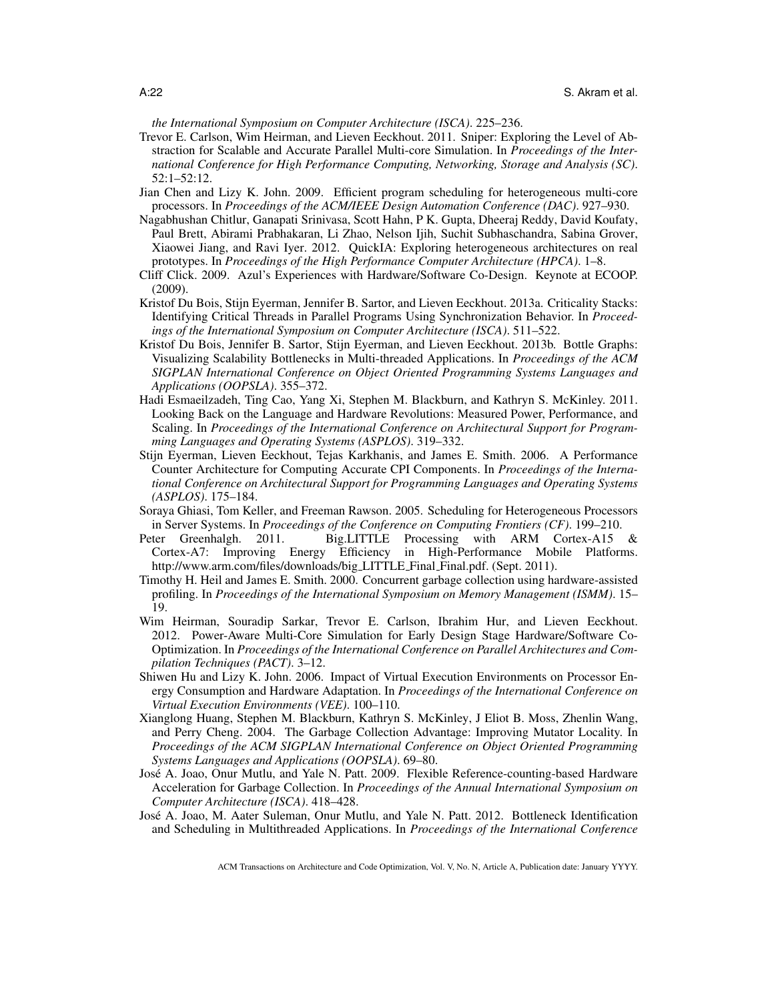*the International Symposium on Computer Architecture (ISCA)*. 225–236.

- Trevor E. Carlson, Wim Heirman, and Lieven Eeckhout. 2011. Sniper: Exploring the Level of Abstraction for Scalable and Accurate Parallel Multi-core Simulation. In *Proceedings of the International Conference for High Performance Computing, Networking, Storage and Analysis (SC)*. 52:1–52:12.
- Jian Chen and Lizy K. John. 2009. Efficient program scheduling for heterogeneous multi-core processors. In *Proceedings of the ACM/IEEE Design Automation Conference (DAC)*. 927–930.
- Nagabhushan Chitlur, Ganapati Srinivasa, Scott Hahn, P K. Gupta, Dheeraj Reddy, David Koufaty, Paul Brett, Abirami Prabhakaran, Li Zhao, Nelson Ijih, Suchit Subhaschandra, Sabina Grover, Xiaowei Jiang, and Ravi Iyer. 2012. QuickIA: Exploring heterogeneous architectures on real prototypes. In *Proceedings of the High Performance Computer Architecture (HPCA)*. 1–8.
- Cliff Click. 2009. Azul's Experiences with Hardware/Software Co-Design. Keynote at ECOOP. (2009).
- Kristof Du Bois, Stijn Eyerman, Jennifer B. Sartor, and Lieven Eeckhout. 2013a. Criticality Stacks: Identifying Critical Threads in Parallel Programs Using Synchronization Behavior. In *Proceedings of the International Symposium on Computer Architecture (ISCA)*. 511–522.
- Kristof Du Bois, Jennifer B. Sartor, Stijn Eyerman, and Lieven Eeckhout. 2013b. Bottle Graphs: Visualizing Scalability Bottlenecks in Multi-threaded Applications. In *Proceedings of the ACM SIGPLAN International Conference on Object Oriented Programming Systems Languages and Applications (OOPSLA)*. 355–372.
- Hadi Esmaeilzadeh, Ting Cao, Yang Xi, Stephen M. Blackburn, and Kathryn S. McKinley. 2011. Looking Back on the Language and Hardware Revolutions: Measured Power, Performance, and Scaling. In *Proceedings of the International Conference on Architectural Support for Programming Languages and Operating Systems (ASPLOS)*. 319–332.
- Stijn Eyerman, Lieven Eeckhout, Tejas Karkhanis, and James E. Smith. 2006. A Performance Counter Architecture for Computing Accurate CPI Components. In *Proceedings of the International Conference on Architectural Support for Programming Languages and Operating Systems (ASPLOS)*. 175–184.
- Soraya Ghiasi, Tom Keller, and Freeman Rawson. 2005. Scheduling for Heterogeneous Processors in Server Systems. In *Proceedings of the Conference on Computing Frontiers (CF)*. 199–210.
- 2011. Big.LITTLE Processing with ARM Cortex-A15  $\&$ Cortex-A7: Improving Energy Efficiency in High-Performance Mobile Platforms. http://www.arm.com/files/downloads/big\_LITTLE\_Final\_Final.pdf. (Sept. 2011).
- Timothy H. Heil and James E. Smith. 2000. Concurrent garbage collection using hardware-assisted profiling. In *Proceedings of the International Symposium on Memory Management (ISMM)*. 15– 19.
- Wim Heirman, Souradip Sarkar, Trevor E. Carlson, Ibrahim Hur, and Lieven Eeckhout. 2012. Power-Aware Multi-Core Simulation for Early Design Stage Hardware/Software Co-Optimization. In *Proceedings of the International Conference on Parallel Architectures and Compilation Techniques (PACT)*. 3–12.
- Shiwen Hu and Lizy K. John. 2006. Impact of Virtual Execution Environments on Processor Energy Consumption and Hardware Adaptation. In *Proceedings of the International Conference on Virtual Execution Environments (VEE)*. 100–110.
- Xianglong Huang, Stephen M. Blackburn, Kathryn S. McKinley, J Eliot B. Moss, Zhenlin Wang, and Perry Cheng. 2004. The Garbage Collection Advantage: Improving Mutator Locality. In *Proceedings of the ACM SIGPLAN International Conference on Object Oriented Programming Systems Languages and Applications (OOPSLA)*. 69–80.
- Jose A. Joao, Onur Mutlu, and Yale N. Patt. 2009. Flexible Reference-counting-based Hardware ´ Acceleration for Garbage Collection. In *Proceedings of the Annual International Symposium on Computer Architecture (ISCA)*. 418–428.
- Jose A. Joao, M. Aater Suleman, Onur Mutlu, and Yale N. Patt. 2012. Bottleneck Identification ´ and Scheduling in Multithreaded Applications. In *Proceedings of the International Conference*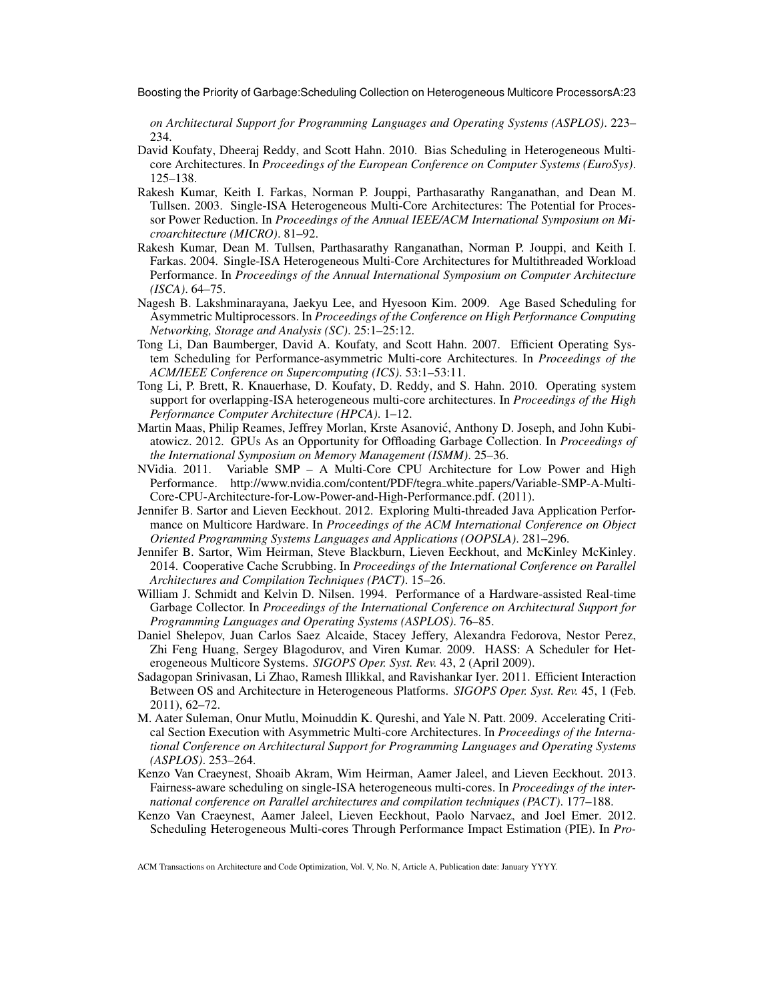*on Architectural Support for Programming Languages and Operating Systems (ASPLOS)*. 223– 234.

- David Koufaty, Dheeraj Reddy, and Scott Hahn. 2010. Bias Scheduling in Heterogeneous Multicore Architectures. In *Proceedings of the European Conference on Computer Systems (EuroSys)*. 125–138.
- Rakesh Kumar, Keith I. Farkas, Norman P. Jouppi, Parthasarathy Ranganathan, and Dean M. Tullsen. 2003. Single-ISA Heterogeneous Multi-Core Architectures: The Potential for Processor Power Reduction. In *Proceedings of the Annual IEEE/ACM International Symposium on Microarchitecture (MICRO)*. 81–92.
- Rakesh Kumar, Dean M. Tullsen, Parthasarathy Ranganathan, Norman P. Jouppi, and Keith I. Farkas. 2004. Single-ISA Heterogeneous Multi-Core Architectures for Multithreaded Workload Performance. In *Proceedings of the Annual International Symposium on Computer Architecture (ISCA)*. 64–75.
- Nagesh B. Lakshminarayana, Jaekyu Lee, and Hyesoon Kim. 2009. Age Based Scheduling for Asymmetric Multiprocessors. In *Proceedings of the Conference on High Performance Computing Networking, Storage and Analysis (SC)*. 25:1–25:12.
- Tong Li, Dan Baumberger, David A. Koufaty, and Scott Hahn. 2007. Efficient Operating System Scheduling for Performance-asymmetric Multi-core Architectures. In *Proceedings of the ACM/IEEE Conference on Supercomputing (ICS)*. 53:1–53:11.
- Tong Li, P. Brett, R. Knauerhase, D. Koufaty, D. Reddy, and S. Hahn. 2010. Operating system support for overlapping-ISA heterogeneous multi-core architectures. In *Proceedings of the High Performance Computer Architecture (HPCA)*. 1–12.
- Martin Maas, Philip Reames, Jeffrey Morlan, Krste Asanovic, Anthony D. Joseph, and John Kubi- ´ atowicz. 2012. GPUs As an Opportunity for Offloading Garbage Collection. In *Proceedings of the International Symposium on Memory Management (ISMM)*. 25–36.
- NVidia. 2011. Variable SMP A Multi-Core CPU Architecture for Low Power and High Performance. http://www.nvidia.com/content/PDF/tegra white papers/Variable-SMP-A-Multi-Core-CPU-Architecture-for-Low-Power-and-High-Performance.pdf. (2011).
- Jennifer B. Sartor and Lieven Eeckhout. 2012. Exploring Multi-threaded Java Application Performance on Multicore Hardware. In *Proceedings of the ACM International Conference on Object Oriented Programming Systems Languages and Applications (OOPSLA)*. 281–296.
- Jennifer B. Sartor, Wim Heirman, Steve Blackburn, Lieven Eeckhout, and McKinley McKinley. 2014. Cooperative Cache Scrubbing. In *Proceedings of the International Conference on Parallel Architectures and Compilation Techniques (PACT)*. 15–26.
- William J. Schmidt and Kelvin D. Nilsen. 1994. Performance of a Hardware-assisted Real-time Garbage Collector. In *Proceedings of the International Conference on Architectural Support for Programming Languages and Operating Systems (ASPLOS)*. 76–85.
- Daniel Shelepov, Juan Carlos Saez Alcaide, Stacey Jeffery, Alexandra Fedorova, Nestor Perez, Zhi Feng Huang, Sergey Blagodurov, and Viren Kumar. 2009. HASS: A Scheduler for Heterogeneous Multicore Systems. *SIGOPS Oper. Syst. Rev.* 43, 2 (April 2009).
- Sadagopan Srinivasan, Li Zhao, Ramesh Illikkal, and Ravishankar Iyer. 2011. Efficient Interaction Between OS and Architecture in Heterogeneous Platforms. *SIGOPS Oper. Syst. Rev.* 45, 1 (Feb. 2011), 62–72.
- M. Aater Suleman, Onur Mutlu, Moinuddin K. Qureshi, and Yale N. Patt. 2009. Accelerating Critical Section Execution with Asymmetric Multi-core Architectures. In *Proceedings of the International Conference on Architectural Support for Programming Languages and Operating Systems (ASPLOS)*. 253–264.
- Kenzo Van Craeynest, Shoaib Akram, Wim Heirman, Aamer Jaleel, and Lieven Eeckhout. 2013. Fairness-aware scheduling on single-ISA heterogeneous multi-cores. In *Proceedings of the international conference on Parallel architectures and compilation techniques (PACT)*. 177–188.
- Kenzo Van Craeynest, Aamer Jaleel, Lieven Eeckhout, Paolo Narvaez, and Joel Emer. 2012. Scheduling Heterogeneous Multi-cores Through Performance Impact Estimation (PIE). In *Pro-*